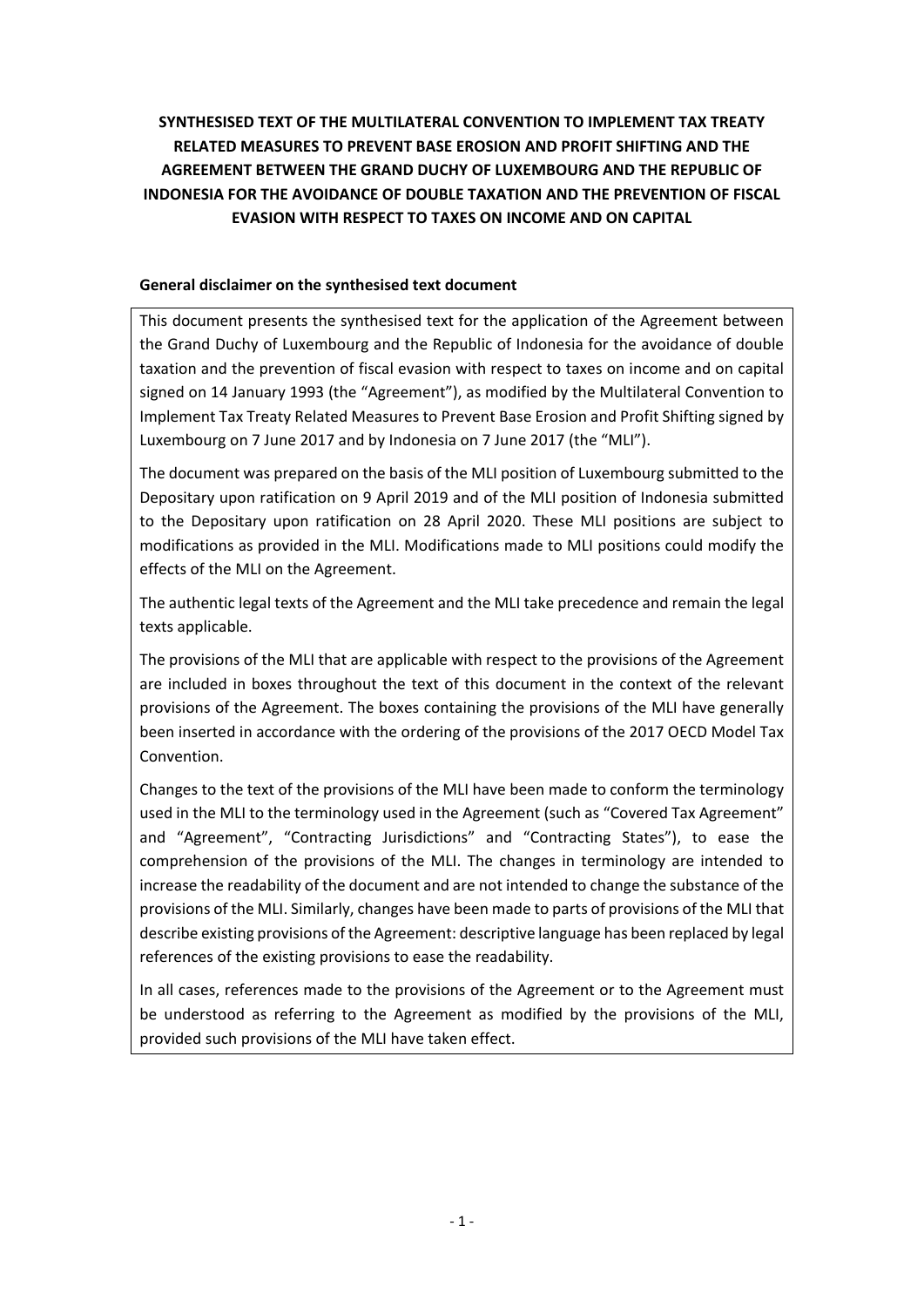# **SYNTHESISED TEXT OF THE MULTILATERAL CONVENTION TO IMPLEMENT TAX TREATY RELATED MEASURES TO PREVENT BASE EROSION AND PROFIT SHIFTING AND THE AGREEMENT BETWEEN THE GRAND DUCHY OF LUXEMBOURG AND THE REPUBLIC OF INDONESIA FOR THE AVOIDANCE OF DOUBLE TAXATION AND THE PREVENTION OF FISCAL EVASION WITH RESPECT TO TAXES ON INCOME AND ON CAPITAL**

### **General disclaimer on the synthesised text document**

This document presents the synthesised text for the application of the Agreement between the Grand Duchy of Luxembourg and the Republic of Indonesia for the avoidance of double taxation and the prevention of fiscal evasion with respect to taxes on income and on capital signed on 14 January 1993 (the "Agreement"), as modified by the Multilateral Convention to Implement Tax Treaty Related Measures to Prevent Base Erosion and Profit Shifting signed by Luxembourg on 7 June 2017 and by Indonesia on 7 June 2017 (the "MLI").

The document was prepared on the basis of the MLI position of Luxembourg submitted to the Depositary upon ratification on 9 April 2019 and of the MLI position of Indonesia submitted to the Depositary upon ratification on 28 April 2020. These MLI positions are subject to modifications as provided in the MLI. Modifications made to MLI positions could modify the effects of the MLI on the Agreement.

The authentic legal texts of the Agreement and the MLI take precedence and remain the legal texts applicable.

The provisions of the MLI that are applicable with respect to the provisions of the Agreement are included in boxes throughout the text of this document in the context of the relevant provisions of the Agreement. The boxes containing the provisions of the MLI have generally been inserted in accordance with the ordering of the provisions of the 2017 OECD Model Tax Convention.

Changes to the text of the provisions of the MLI have been made to conform the terminology used in the MLI to the terminology used in the Agreement (such as "Covered Tax Agreement" and "Agreement", "Contracting Jurisdictions" and "Contracting States"), to ease the comprehension of the provisions of the MLI. The changes in terminology are intended to increase the readability of the document and are not intended to change the substance of the provisions of the MLI. Similarly, changes have been made to parts of provisions of the MLI that describe existing provisions of the Agreement: descriptive language has been replaced by legal references of the existing provisions to ease the readability.

In all cases, references made to the provisions of the Agreement or to the Agreement must be understood as referring to the Agreement as modified by the provisions of the MLI, provided such provisions of the MLI have taken effect.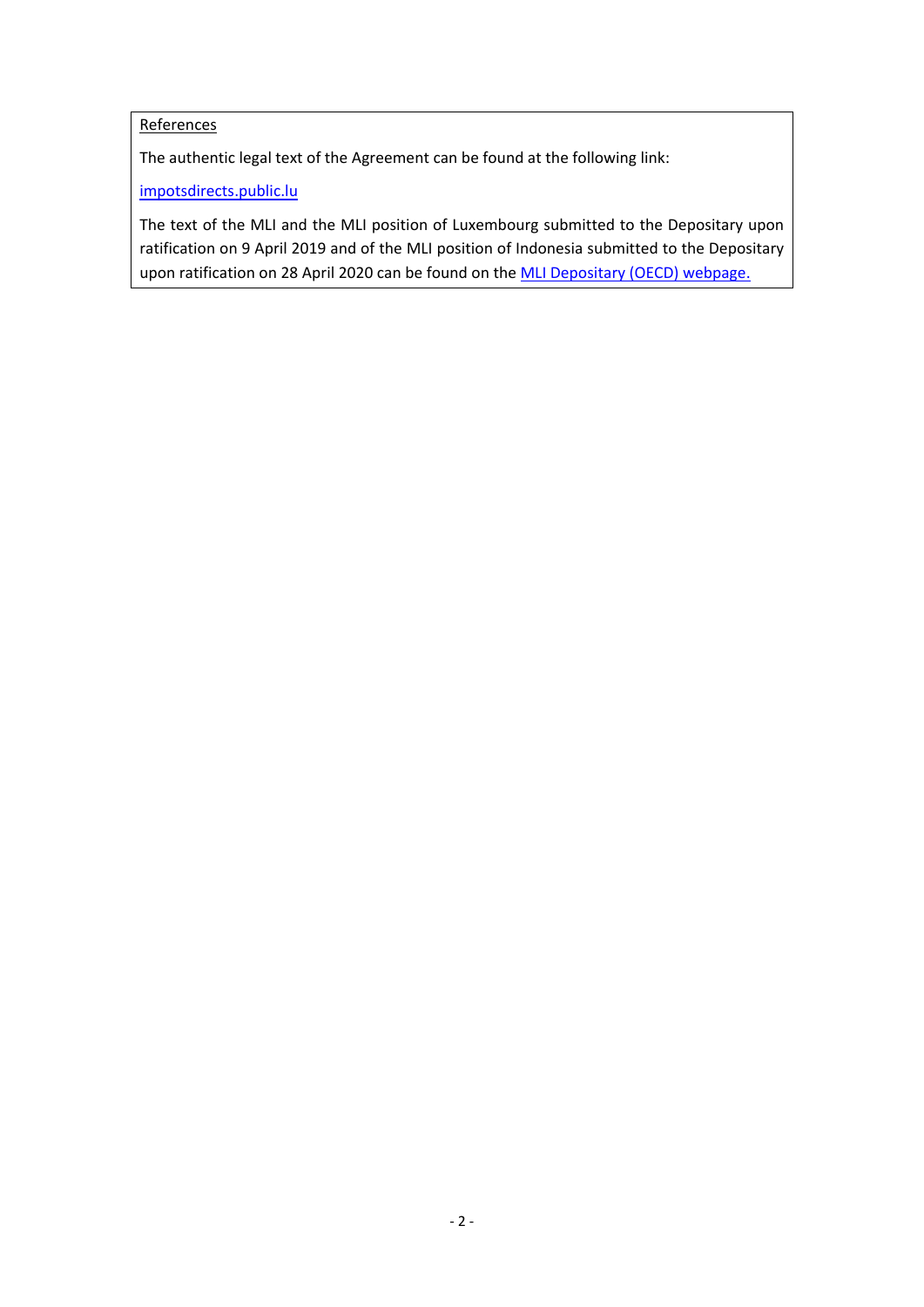# **References**

The authentic legal text of the Agreement can be found at the following link:

[impotsdirects.public.lu](https://impotsdirects.public.lu/fr.html)

The text of the MLI and the MLI position of Luxembourg submitted to the Depositary upon ratification on 9 April 2019 and of the MLI position of Indonesia submitted to the Depositary upon ratification on 28 April 2020 can be found on the [MLI Depositary \(OECD\) webpage.](https://www.oecd.org/tax/treaties/multilateral-convention-to-implement-tax-treaty-related-measures-to-prevent-beps.htm)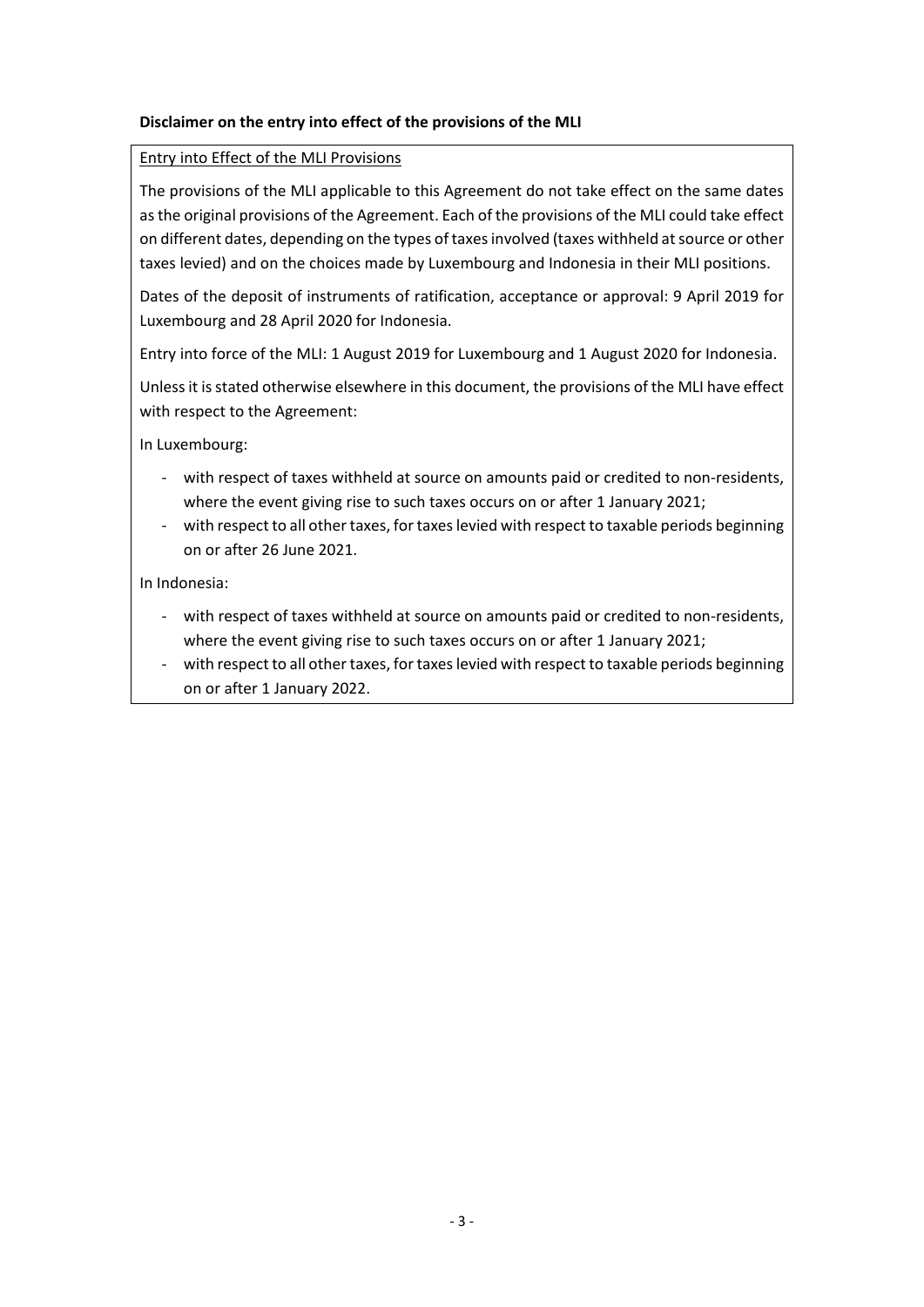# **Disclaimer on the entry into effect of the provisions of the MLI**

#### Entry into Effect of the MLI Provisions

The provisions of the MLI applicable to this Agreement do not take effect on the same dates as the original provisions of the Agreement. Each of the provisions of the MLI could take effect on different dates, depending on the types of taxes involved (taxes withheld at source or other taxes levied) and on the choices made by Luxembourg and Indonesia in their MLI positions.

Dates of the deposit of instruments of ratification, acceptance or approval: 9 April 2019 for Luxembourg and 28 April 2020 for Indonesia.

Entry into force of the MLI: 1 August 2019 for Luxembourg and 1 August 2020 for Indonesia.

Unless it is stated otherwise elsewhere in this document, the provisions of the MLI have effect with respect to the Agreement:

In Luxembourg:

- with respect of taxes withheld at source on amounts paid or credited to non-residents, where the event giving rise to such taxes occurs on or after 1 January 2021;
- with respect to all other taxes, for taxes levied with respect to taxable periods beginning on or after 26 June 2021.

In Indonesia:

- with respect of taxes withheld at source on amounts paid or credited to non-residents, where the event giving rise to such taxes occurs on or after 1 January 2021;
- with respect to all other taxes, for taxes levied with respect to taxable periods beginning on or after 1 January 2022.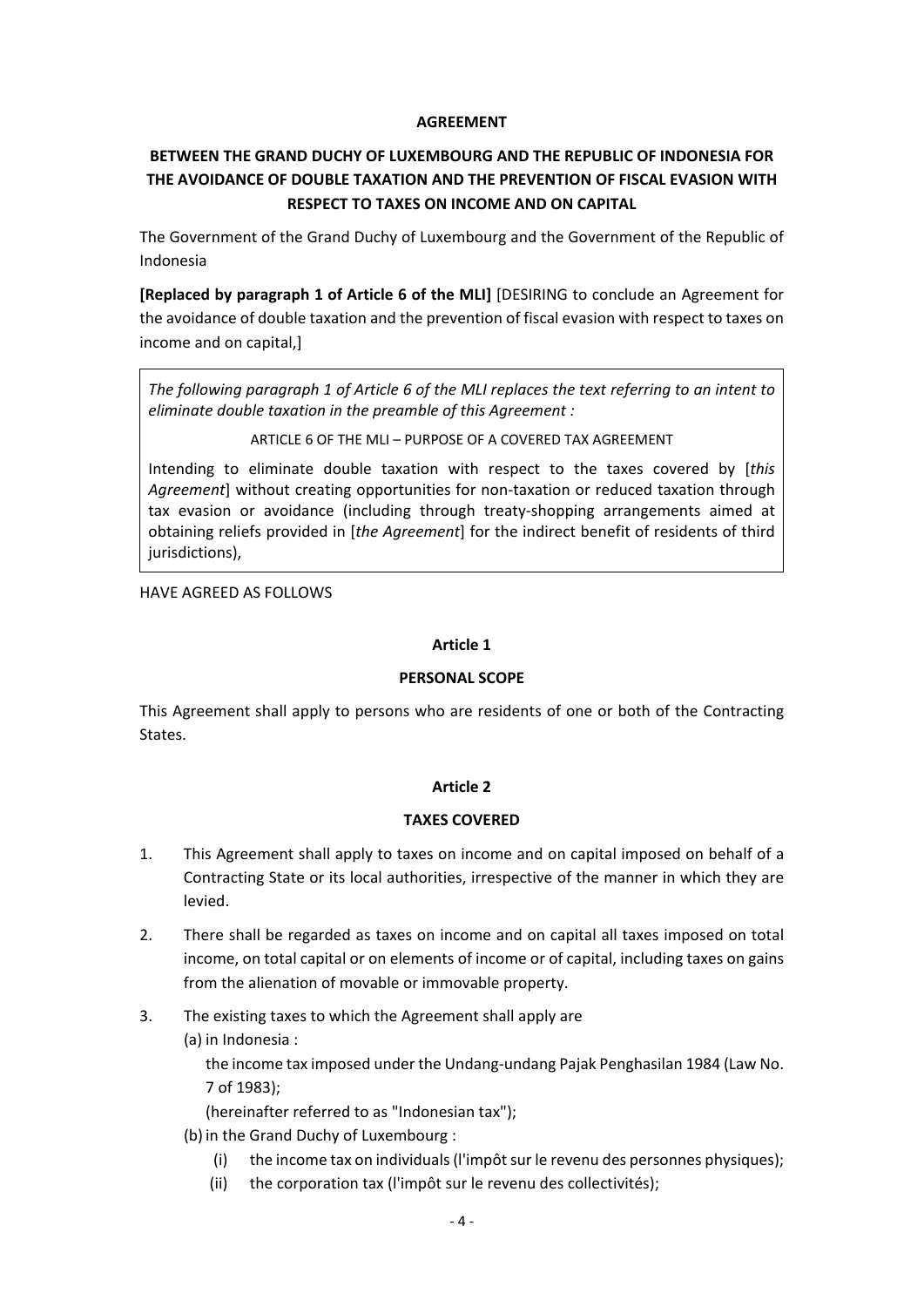#### **AGREEMENT**

# **BETWEEN THE GRAND DUCHY OF LUXEMBOURG AND THE REPUBLIC OF INDONESIA FOR THE AVOIDANCE OF DOUBLE TAXATION AND THE PREVENTION OF FISCAL EVASION WITH RESPECT TO TAXES ON INCOME AND ON CAPITAL**

The Government of the Grand Duchy of Luxembourg and the Government of the Republic of Indonesia

**[Replaced by paragraph 1 of Article 6 of the MLI]** [DESIRING to conclude an Agreement for the avoidance of double taxation and the prevention of fiscal evasion with respect to taxes on income and on capital,]

*The following paragraph 1 of Article 6 of the MLI replaces the text referring to an intent to eliminate double taxation in the preamble of this Agreement :*

ARTICLE 6 OF THE MLI – PURPOSE OF A COVERED TAX AGREEMENT

Intending to eliminate double taxation with respect to the taxes covered by [*this Agreement*] without creating opportunities for non-taxation or reduced taxation through tax evasion or avoidance (including through treaty-shopping arrangements aimed at obtaining reliefs provided in [*the Agreement*] for the indirect benefit of residents of third jurisdictions),

HAVE AGREED AS FOLLOWS

### **Article 1**

# **PERSONAL SCOPE**

This Agreement shall apply to persons who are residents of one or both of the Contracting States.

# **Article 2**

# **TAXES COVERED**

- 1. This Agreement shall apply to taxes on income and on capital imposed on behalf of a Contracting State or its local authorities, irrespective of the manner in which they are levied.
- 2. There shall be regarded as taxes on income and on capital all taxes imposed on total income, on total capital or on elements of income or of capital, including taxes on gains from the alienation of movable or immovable property.
- 3. The existing taxes to which the Agreement shall apply are
	- (a) in Indonesia :

the income tax imposed under the Undang-undang Pajak Penghasilan 1984 (Law No. 7 of 1983);

(hereinafter referred to as "Indonesian tax");

- (b) in the Grand Duchy of Luxembourg :
	- (i) the income tax on individuals (l'impôt sur le revenu des personnes physiques);
	- (ii) the corporation tax (l'impôt sur le revenu des collectivités);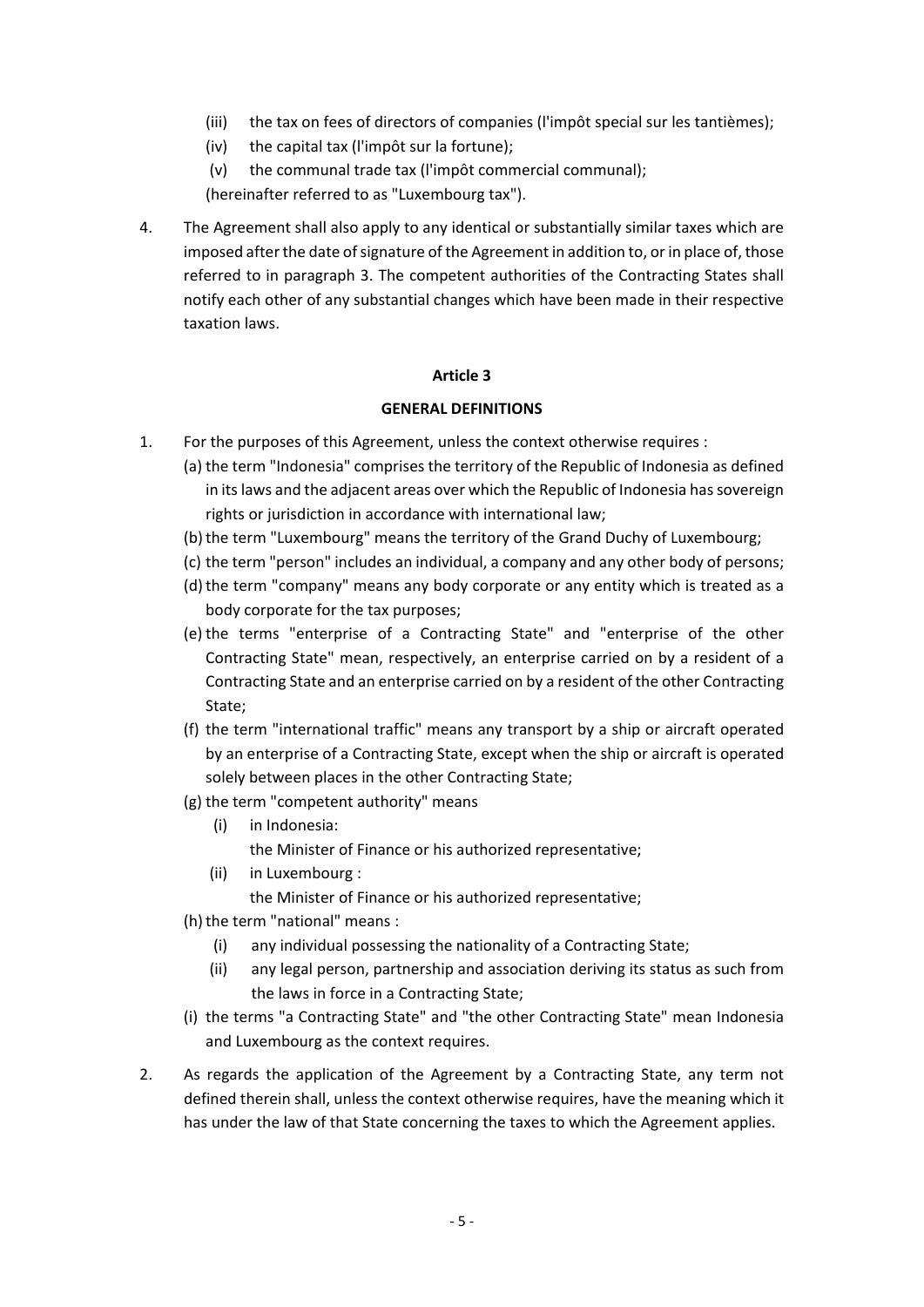- (iii) the tax on fees of directors of companies (l'impôt special sur les tantièmes);
- (iv) the capital tax (l'impôt sur la fortune);
- (v) the communal trade tax (l'impôt commercial communal);

(hereinafter referred to as "Luxembourg tax").

4. The Agreement shall also apply to any identical or substantially similar taxes which are imposed after the date of signature of the Agreement in addition to, or in place of, those referred to in paragraph 3. The competent authorities of the Contracting States shall notify each other of any substantial changes which have been made in their respective taxation laws.

#### **Article 3**

#### **GENERAL DEFINITIONS**

- 1. For the purposes of this Agreement, unless the context otherwise requires :
	- (a) the term "Indonesia" comprises the territory of the Republic of Indonesia as defined in its laws and the adjacent areas over which the Republic of Indonesia has sovereign rights or jurisdiction in accordance with international law;
	- (b) the term "Luxembourg" means the territory of the Grand Duchy of Luxembourg;
	- (c) the term "person" includes an individual, a company and any other body of persons;
	- (d) the term "company" means any body corporate or any entity which is treated as a body corporate for the tax purposes;
	- (e) the terms "enterprise of a Contracting State" and "enterprise of the other Contracting State" mean, respectively, an enterprise carried on by a resident of a Contracting State and an enterprise carried on by a resident of the other Contracting State;
	- (f) the term "international traffic" means any transport by a ship or aircraft operated by an enterprise of a Contracting State, except when the ship or aircraft is operated solely between places in the other Contracting State;
	- (g) the term "competent authority" means
		- (i) in Indonesia: the Minister of Finance or his authorized representative;
		- (ii) in Luxembourg :
			- the Minister of Finance or his authorized representative;
	- (h) the term "national" means :
		- (i) any individual possessing the nationality of a Contracting State;
		- (ii) any legal person, partnership and association deriving its status as such from the laws in force in a Contracting State;
	- (i) the terms "a Contracting State" and "the other Contracting State" mean Indonesia and Luxembourg as the context requires.
- 2. As regards the application of the Agreement by a Contracting State, any term not defined therein shall, unless the context otherwise requires, have the meaning which it has under the law of that State concerning the taxes to which the Agreement applies.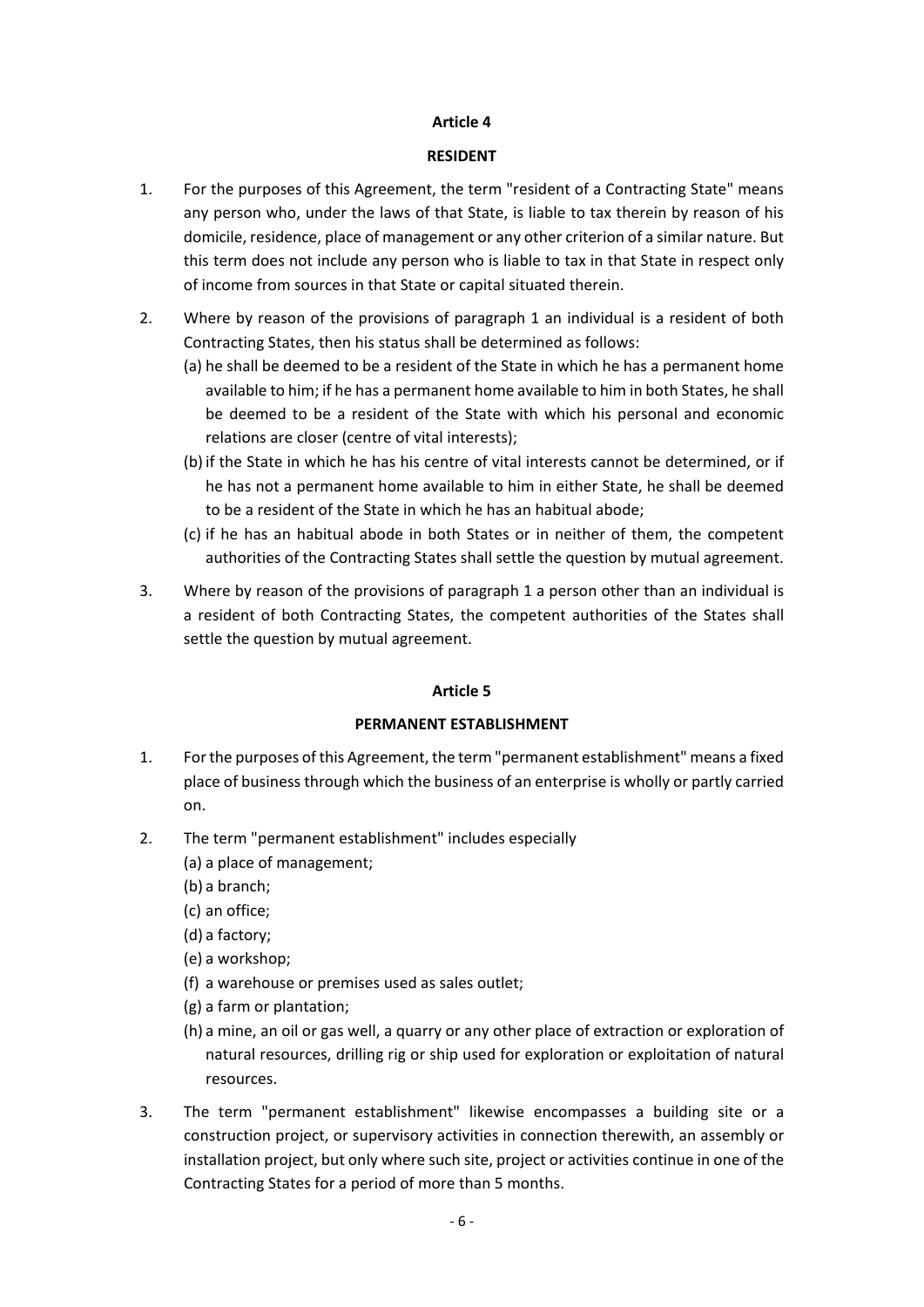### **RESIDENT**

- 1. For the purposes of this Agreement, the term "resident of a Contracting State" means any person who, under the laws of that State, is liable to tax therein by reason of his domicile, residence, place of management or any other criterion of a similar nature. But this term does not include any person who is liable to tax in that State in respect only of income from sources in that State or capital situated therein.
- 2. Where by reason of the provisions of paragraph 1 an individual is a resident of both Contracting States, then his status shall be determined as follows:
	- (a) he shall be deemed to be a resident of the State in which he has a permanent home available to him; if he has a permanent home available to him in both States, he shall be deemed to be a resident of the State with which his personal and economic relations are closer (centre of vital interests);
	- (b) if the State in which he has his centre of vital interests cannot be determined, or if he has not a permanent home available to him in either State, he shall be deemed to be a resident of the State in which he has an habitual abode;
	- (c) if he has an habitual abode in both States or in neither of them, the competent authorities of the Contracting States shall settle the question by mutual agreement.
- 3. Where by reason of the provisions of paragraph 1 a person other than an individual is a resident of both Contracting States, the competent authorities of the States shall settle the question by mutual agreement.

# **Article 5**

# **PERMANENT ESTABLISHMENT**

- 1. For the purposes of this Agreement, the term "permanent establishment" means a fixed place of business through which the business of an enterprise is wholly or partly carried on.
- 2. The term "permanent establishment" includes especially
	- (a) a place of management;
	- (b) a branch;
	- (c) an office;
	- (d) a factory;
	- (e) a workshop;
	- (f) a warehouse or premises used as sales outlet;
	- (g) a farm or plantation;
	- (h) a mine, an oil or gas well, a quarry or any other place of extraction or exploration of natural resources, drilling rig or ship used for exploration or exploitation of natural resources.
- 3. The term "permanent establishment" likewise encompasses a building site or a construction project, or supervisory activities in connection therewith, an assembly or installation project, but only where such site, project or activities continue in one of the Contracting States for a period of more than 5 months.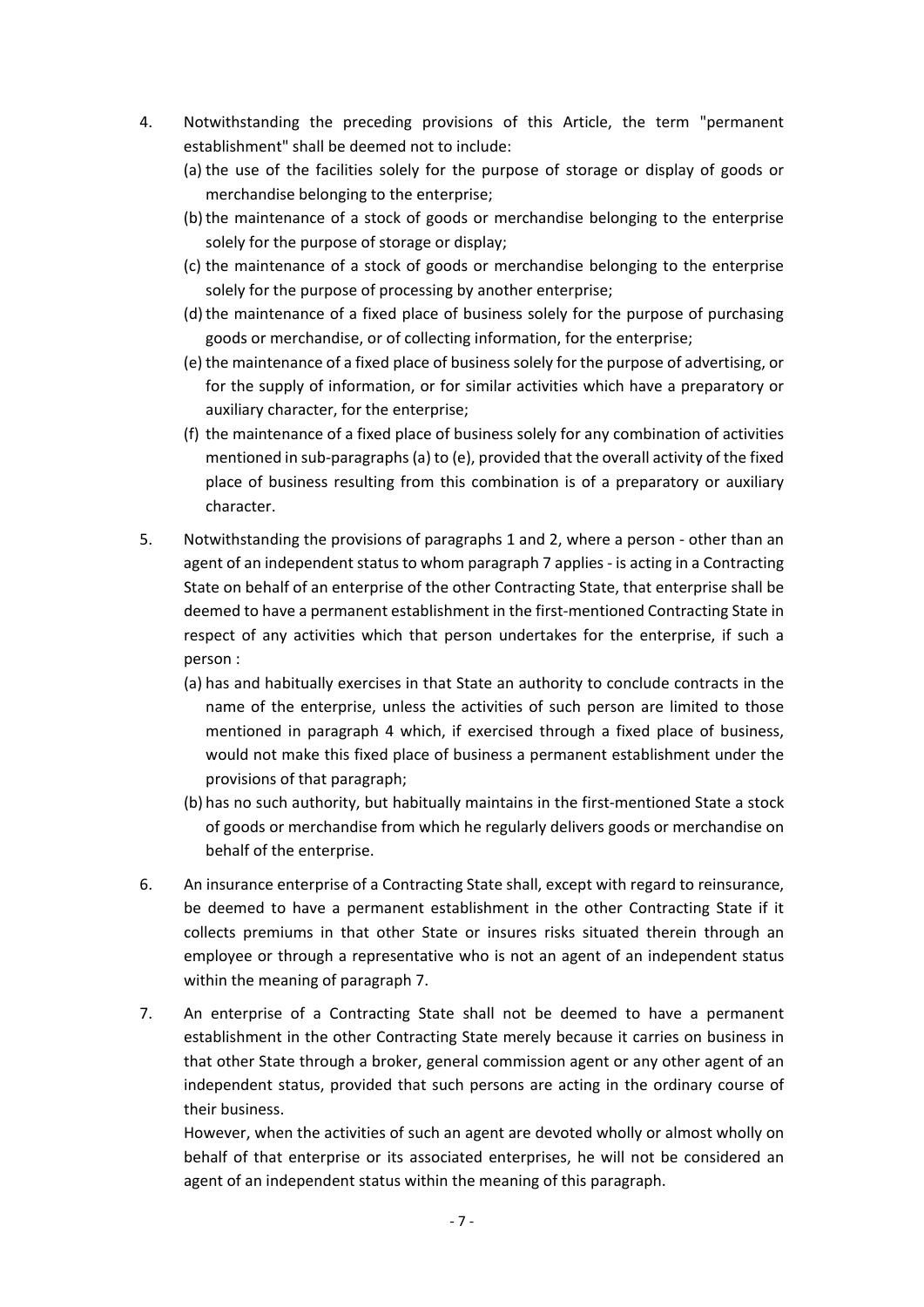- 4. Notwithstanding the preceding provisions of this Article, the term "permanent establishment" shall be deemed not to include:
	- (a) the use of the facilities solely for the purpose of storage or display of goods or merchandise belonging to the enterprise;
	- (b) the maintenance of a stock of goods or merchandise belonging to the enterprise solely for the purpose of storage or display;
	- (c) the maintenance of a stock of goods or merchandise belonging to the enterprise solely for the purpose of processing by another enterprise;
	- (d) the maintenance of a fixed place of business solely for the purpose of purchasing goods or merchandise, or of collecting information, for the enterprise;
	- (e) the maintenance of a fixed place of business solely for the purpose of advertising, or for the supply of information, or for similar activities which have a preparatory or auxiliary character, for the enterprise;
	- (f) the maintenance of a fixed place of business solely for any combination of activities mentioned in sub-paragraphs (a) to (e), provided that the overall activity of the fixed place of business resulting from this combination is of a preparatory or auxiliary character.
- 5. Notwithstanding the provisions of paragraphs 1 and 2, where a person other than an agent of an independent status to whom paragraph 7 applies - is acting in a Contracting State on behalf of an enterprise of the other Contracting State, that enterprise shall be deemed to have a permanent establishment in the first-mentioned Contracting State in respect of any activities which that person undertakes for the enterprise, if such a person :
	- (a) has and habitually exercises in that State an authority to conclude contracts in the name of the enterprise, unless the activities of such person are limited to those mentioned in paragraph 4 which, if exercised through a fixed place of business, would not make this fixed place of business a permanent establishment under the provisions of that paragraph;
	- (b) has no such authority, but habitually maintains in the first-mentioned State a stock of goods or merchandise from which he regularly delivers goods or merchandise on behalf of the enterprise.
- 6. An insurance enterprise of a Contracting State shall, except with regard to reinsurance, be deemed to have a permanent establishment in the other Contracting State if it collects premiums in that other State or insures risks situated therein through an employee or through a representative who is not an agent of an independent status within the meaning of paragraph 7.
- 7. An enterprise of a Contracting State shall not be deemed to have a permanent establishment in the other Contracting State merely because it carries on business in that other State through a broker, general commission agent or any other agent of an independent status, provided that such persons are acting in the ordinary course of their business.

However, when the activities of such an agent are devoted wholly or almost wholly on behalf of that enterprise or its associated enterprises, he will not be considered an agent of an independent status within the meaning of this paragraph.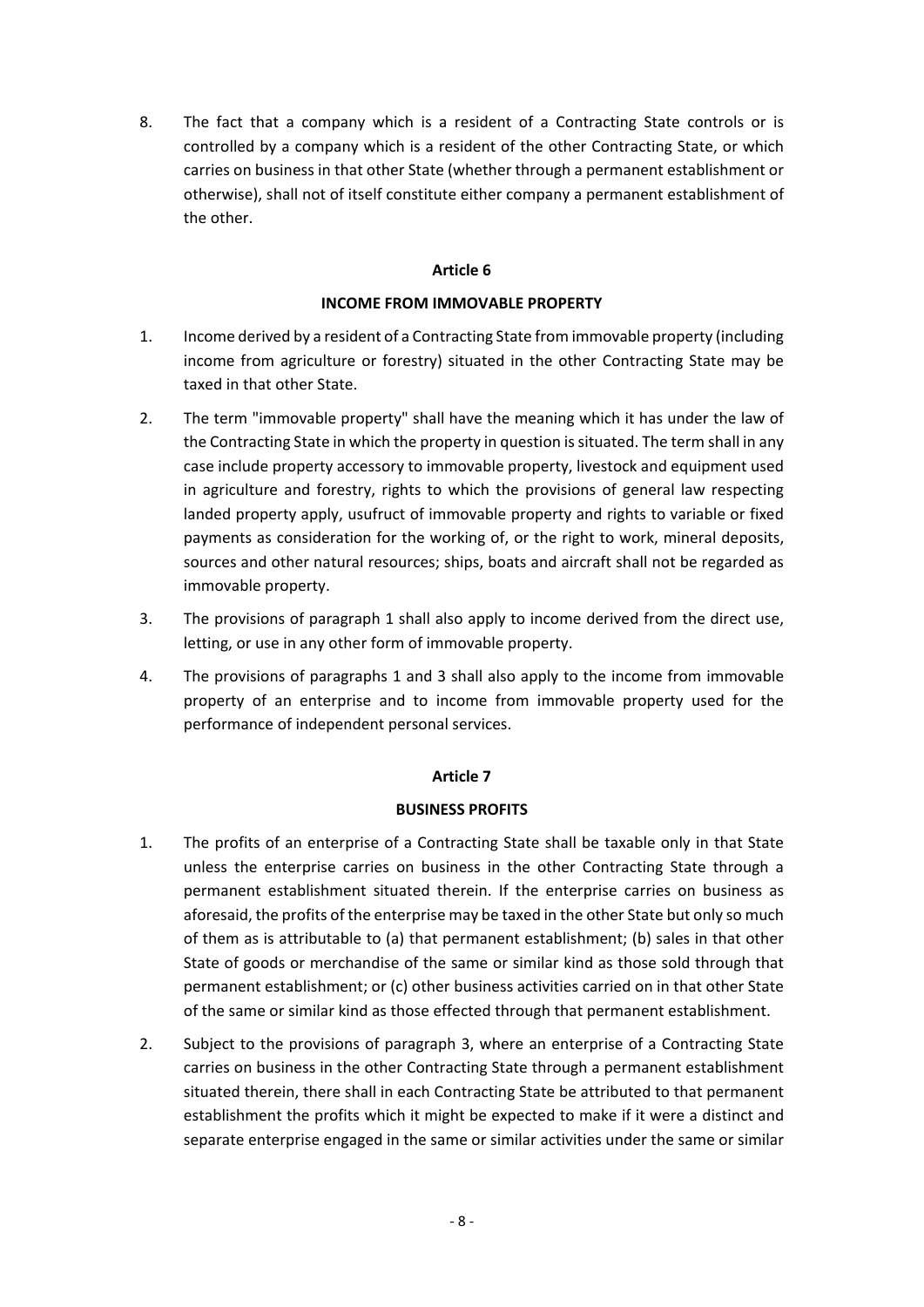8. The fact that a company which is a resident of a Contracting State controls or is controlled by a company which is a resident of the other Contracting State, or which carries on business in that other State (whether through a permanent establishment or otherwise), shall not of itself constitute either company a permanent establishment of the other.

### **Article 6**

### **INCOME FROM IMMOVABLE PROPERTY**

- 1. Income derived by a resident of a Contracting State from immovable property (including income from agriculture or forestry) situated in the other Contracting State may be taxed in that other State.
- 2. The term "immovable property" shall have the meaning which it has under the law of the Contracting State in which the property in question is situated. The term shall in any case include property accessory to immovable property, livestock and equipment used in agriculture and forestry, rights to which the provisions of general law respecting landed property apply, usufruct of immovable property and rights to variable or fixed payments as consideration for the working of, or the right to work, mineral deposits, sources and other natural resources; ships, boats and aircraft shall not be regarded as immovable property.
- 3. The provisions of paragraph 1 shall also apply to income derived from the direct use, letting, or use in any other form of immovable property.
- 4. The provisions of paragraphs 1 and 3 shall also apply to the income from immovable property of an enterprise and to income from immovable property used for the performance of independent personal services.

# **Article 7**

#### **BUSINESS PROFITS**

- 1. The profits of an enterprise of a Contracting State shall be taxable only in that State unless the enterprise carries on business in the other Contracting State through a permanent establishment situated therein. If the enterprise carries on business as aforesaid, the profits of the enterprise may be taxed in the other State but only so much of them as is attributable to (a) that permanent establishment; (b) sales in that other State of goods or merchandise of the same or similar kind as those sold through that permanent establishment; or (c) other business activities carried on in that other State of the same or similar kind as those effected through that permanent establishment.
- 2. Subject to the provisions of paragraph 3, where an enterprise of a Contracting State carries on business in the other Contracting State through a permanent establishment situated therein, there shall in each Contracting State be attributed to that permanent establishment the profits which it might be expected to make if it were a distinct and separate enterprise engaged in the same or similar activities under the same or similar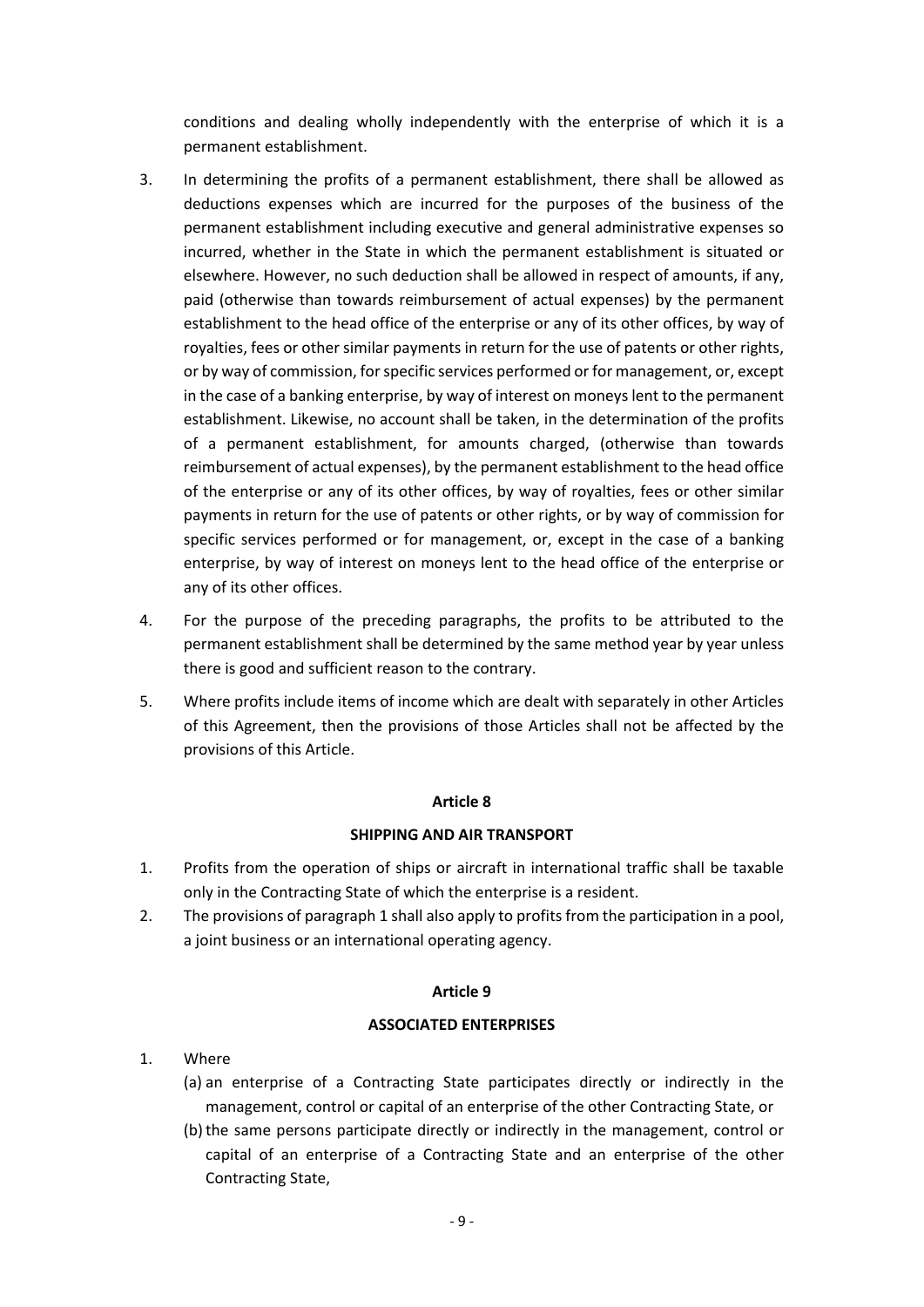conditions and dealing wholly independently with the enterprise of which it is a permanent establishment.

- 3. In determining the profits of a permanent establishment, there shall be allowed as deductions expenses which are incurred for the purposes of the business of the permanent establishment including executive and general administrative expenses so incurred, whether in the State in which the permanent establishment is situated or elsewhere. However, no such deduction shall be allowed in respect of amounts, if any, paid (otherwise than towards reimbursement of actual expenses) by the permanent establishment to the head office of the enterprise or any of its other offices, by way of royalties, fees or other similar payments in return for the use of patents or other rights, or by way of commission, for specific services performed or for management, or, except in the case of a banking enterprise, by way of interest on moneys lent to the permanent establishment. Likewise, no account shall be taken, in the determination of the profits of a permanent establishment, for amounts charged, (otherwise than towards reimbursement of actual expenses), by the permanent establishment to the head office of the enterprise or any of its other offices, by way of royalties, fees or other similar payments in return for the use of patents or other rights, or by way of commission for specific services performed or for management, or, except in the case of a banking enterprise, by way of interest on moneys lent to the head office of the enterprise or any of its other offices.
- 4. For the purpose of the preceding paragraphs, the profits to be attributed to the permanent establishment shall be determined by the same method year by year unless there is good and sufficient reason to the contrary.
- 5. Where profits include items of income which are dealt with separately in other Articles of this Agreement, then the provisions of those Articles shall not be affected by the provisions of this Article.

#### **Article 8**

# **SHIPPING AND AIR TRANSPORT**

- 1. Profits from the operation of ships or aircraft in international traffic shall be taxable only in the Contracting State of which the enterprise is a resident.
- 2. The provisions of paragraph 1 shall also apply to profits from the participation in a pool, a joint business or an international operating agency.

#### **Article 9**

#### **ASSOCIATED ENTERPRISES**

- 1. Where
	- (a) an enterprise of a Contracting State participates directly or indirectly in the management, control or capital of an enterprise of the other Contracting State, or
	- (b) the same persons participate directly or indirectly in the management, control or capital of an enterprise of a Contracting State and an enterprise of the other Contracting State,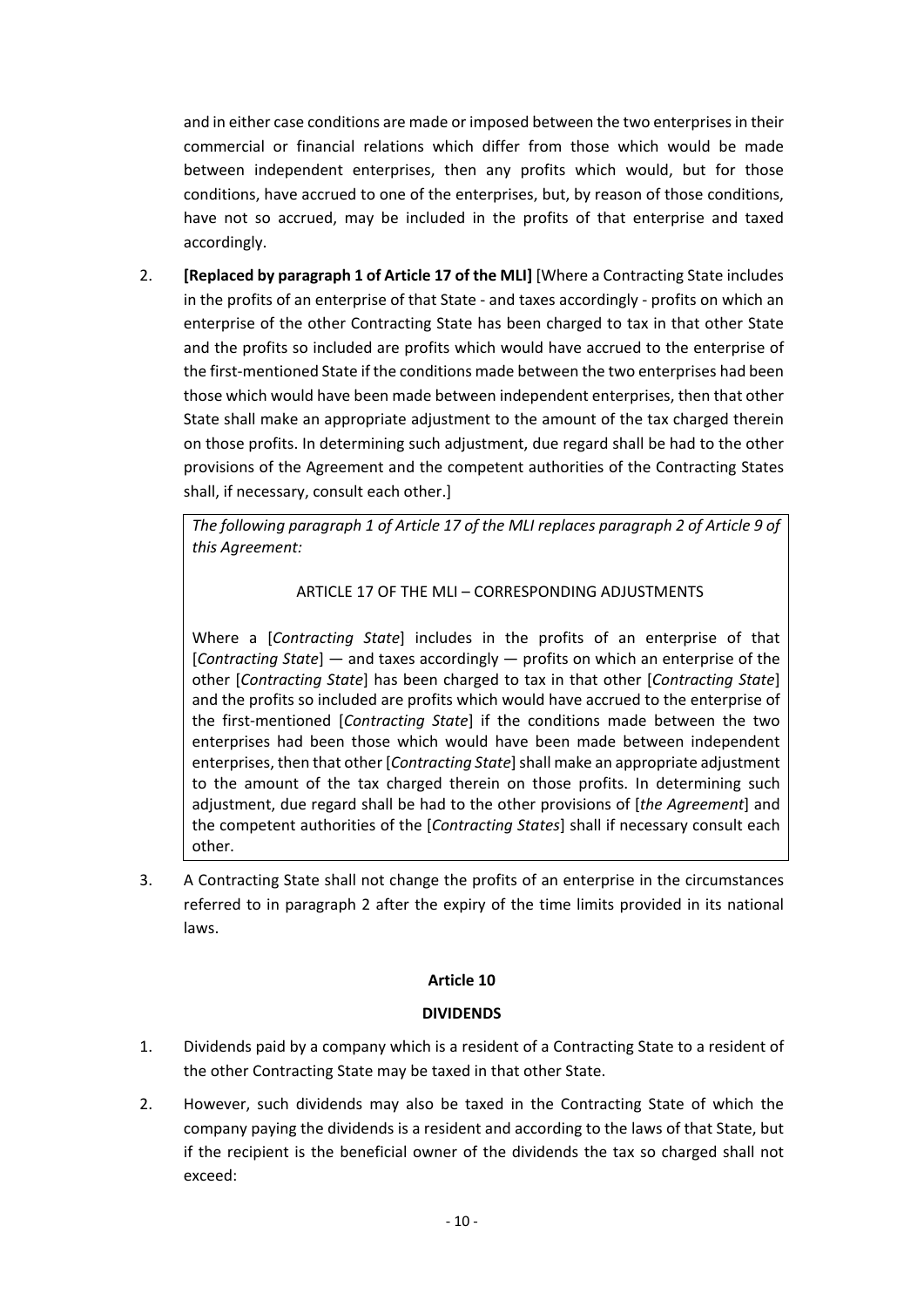and in either case conditions are made or imposed between the two enterprises in their commercial or financial relations which differ from those which would be made between independent enterprises, then any profits which would, but for those conditions, have accrued to one of the enterprises, but, by reason of those conditions, have not so accrued, may be included in the profits of that enterprise and taxed accordingly.

2. **[Replaced by paragraph 1 of Article 17 of the MLI]** [Where a Contracting State includes in the profits of an enterprise of that State - and taxes accordingly - profits on which an enterprise of the other Contracting State has been charged to tax in that other State and the profits so included are profits which would have accrued to the enterprise of the first-mentioned State if the conditions made between the two enterprises had been those which would have been made between independent enterprises, then that other State shall make an appropriate adjustment to the amount of the tax charged therein on those profits. In determining such adjustment, due regard shall be had to the other provisions of the Agreement and the competent authorities of the Contracting States shall, if necessary, consult each other.]

*The following paragraph 1 of Article 17 of the MLI replaces paragraph 2 of Article 9 of this Agreement:* 

ARTICLE 17 OF THE MLI – CORRESPONDING ADJUSTMENTS

Where a [*Contracting State*] includes in the profits of an enterprise of that [*Contracting State*] — and taxes accordingly — profits on which an enterprise of the other [*Contracting State*] has been charged to tax in that other [*Contracting State*] and the profits so included are profits which would have accrued to the enterprise of the first-mentioned [*Contracting State*] if the conditions made between the two enterprises had been those which would have been made between independent enterprises, then that other [*Contracting State*] shall make an appropriate adjustment to the amount of the tax charged therein on those profits. In determining such adjustment, due regard shall be had to the other provisions of [*the Agreement*] and the competent authorities of the [*Contracting States*] shall if necessary consult each other.

3. A Contracting State shall not change the profits of an enterprise in the circumstances referred to in paragraph 2 after the expiry of the time limits provided in its national laws.

# **Article 10**

# **DIVIDENDS**

- 1. Dividends paid by a company which is a resident of a Contracting State to a resident of the other Contracting State may be taxed in that other State.
- 2. However, such dividends may also be taxed in the Contracting State of which the company paying the dividends is a resident and according to the laws of that State, but if the recipient is the beneficial owner of the dividends the tax so charged shall not exceed: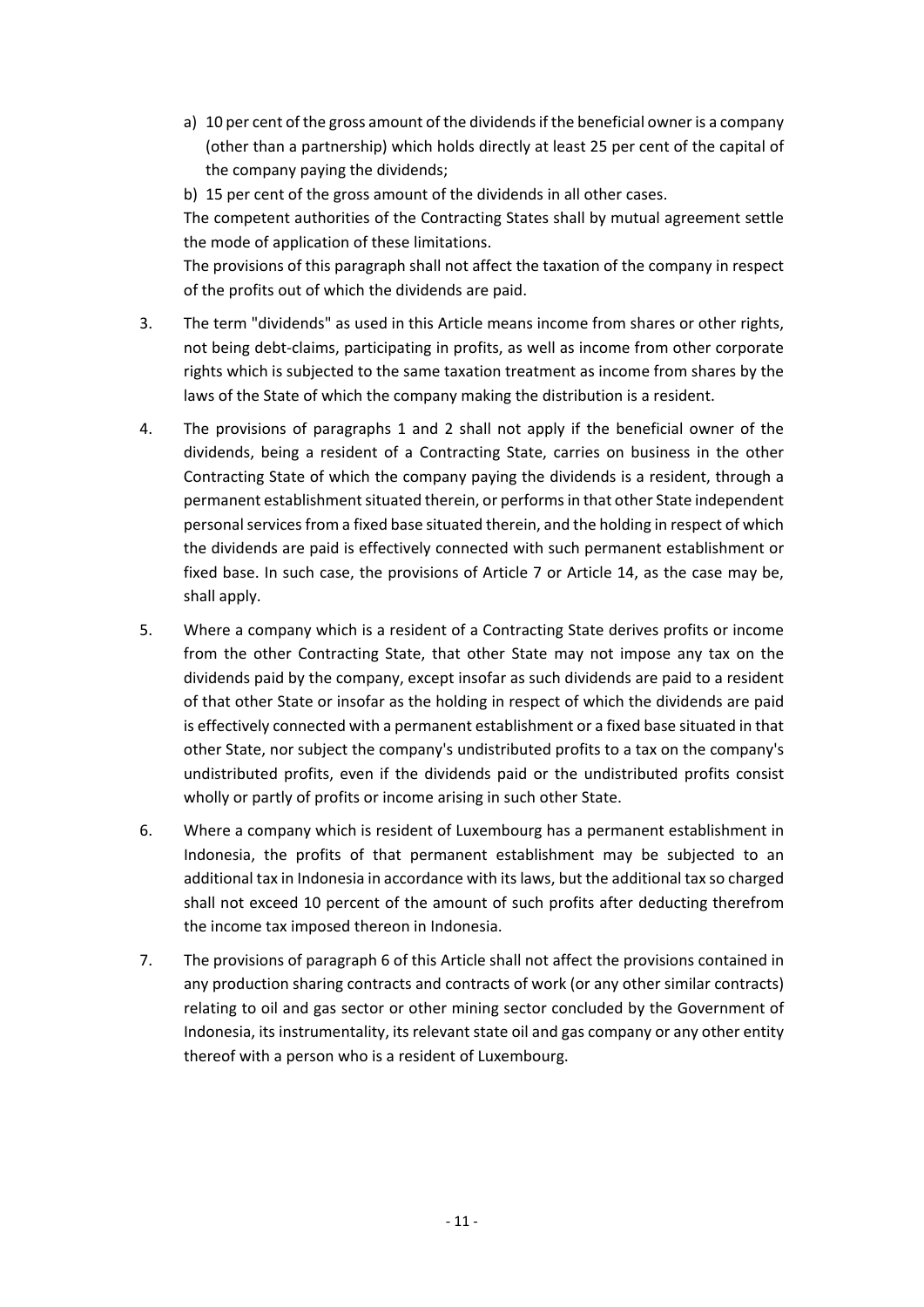a) 10 per cent of the gross amount of the dividends if the beneficial owner is a company (other than a partnership) which holds directly at least 25 per cent of the capital of the company paying the dividends;

b) 15 per cent of the gross amount of the dividends in all other cases.

The competent authorities of the Contracting States shall by mutual agreement settle the mode of application of these limitations.

The provisions of this paragraph shall not affect the taxation of the company in respect of the profits out of which the dividends are paid.

- 3. The term "dividends" as used in this Article means income from shares or other rights, not being debt-claims, participating in profits, as well as income from other corporate rights which is subjected to the same taxation treatment as income from shares by the laws of the State of which the company making the distribution is a resident.
- 4. The provisions of paragraphs 1 and 2 shall not apply if the beneficial owner of the dividends, being a resident of a Contracting State, carries on business in the other Contracting State of which the company paying the dividends is a resident, through a permanent establishment situated therein, or performs in that other State independent personal services from a fixed base situated therein, and the holding in respect of which the dividends are paid is effectively connected with such permanent establishment or fixed base. In such case, the provisions of Article 7 or Article 14, as the case may be, shall apply.
- 5. Where a company which is a resident of a Contracting State derives profits or income from the other Contracting State, that other State may not impose any tax on the dividends paid by the company, except insofar as such dividends are paid to a resident of that other State or insofar as the holding in respect of which the dividends are paid is effectively connected with a permanent establishment or a fixed base situated in that other State, nor subject the company's undistributed profits to a tax on the company's undistributed profits, even if the dividends paid or the undistributed profits consist wholly or partly of profits or income arising in such other State.
- 6. Where a company which is resident of Luxembourg has a permanent establishment in Indonesia, the profits of that permanent establishment may be subjected to an additional tax in Indonesia in accordance with its laws, but the additional tax so charged shall not exceed 10 percent of the amount of such profits after deducting therefrom the income tax imposed thereon in Indonesia.
- 7. The provisions of paragraph 6 of this Article shall not affect the provisions contained in any production sharing contracts and contracts of work (or any other similar contracts) relating to oil and gas sector or other mining sector concluded by the Government of Indonesia, its instrumentality, its relevant state oil and gas company or any other entity thereof with a person who is a resident of Luxembourg.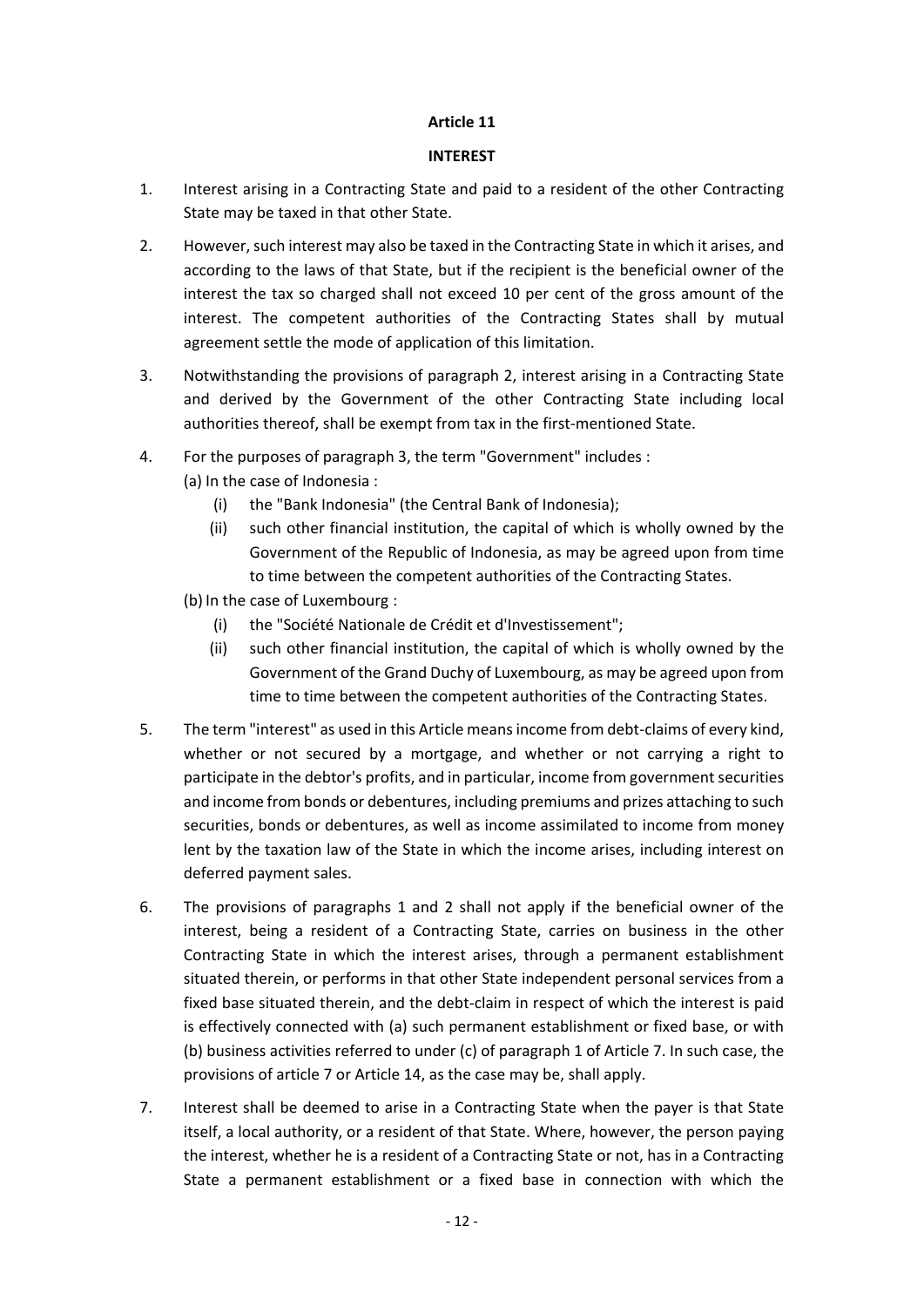#### **INTEREST**

- 1. Interest arising in a Contracting State and paid to a resident of the other Contracting State may be taxed in that other State.
- 2. However, such interest may also be taxed in the Contracting State in which it arises, and according to the laws of that State, but if the recipient is the beneficial owner of the interest the tax so charged shall not exceed 10 per cent of the gross amount of the interest. The competent authorities of the Contracting States shall by mutual agreement settle the mode of application of this limitation.
- 3. Notwithstanding the provisions of paragraph 2, interest arising in a Contracting State and derived by the Government of the other Contracting State including local authorities thereof, shall be exempt from tax in the first-mentioned State.
- 4. For the purposes of paragraph 3, the term "Government" includes :
	- (a) In the case of Indonesia :
		- (i) the "Bank Indonesia" (the Central Bank of Indonesia);
		- (ii) such other financial institution, the capital of which is wholly owned by the Government of the Republic of Indonesia, as may be agreed upon from time to time between the competent authorities of the Contracting States.
	- (b) In the case of Luxembourg :
		- (i) the "Société Nationale de Crédit et d'Investissement";
		- (ii) such other financial institution, the capital of which is wholly owned by the Government of the Grand Duchy of Luxembourg, as may be agreed upon from time to time between the competent authorities of the Contracting States.
- 5. The term "interest" as used in this Article means income from debt-claims of every kind, whether or not secured by a mortgage, and whether or not carrying a right to participate in the debtor's profits, and in particular, income from government securities and income from bonds or debentures, including premiums and prizes attaching to such securities, bonds or debentures, as well as income assimilated to income from money lent by the taxation law of the State in which the income arises, including interest on deferred payment sales.
- 6. The provisions of paragraphs 1 and 2 shall not apply if the beneficial owner of the interest, being a resident of a Contracting State, carries on business in the other Contracting State in which the interest arises, through a permanent establishment situated therein, or performs in that other State independent personal services from a fixed base situated therein, and the debt-claim in respect of which the interest is paid is effectively connected with (a) such permanent establishment or fixed base, or with (b) business activities referred to under (c) of paragraph 1 of Article 7. In such case, the provisions of article 7 or Article 14, as the case may be, shall apply.
- 7. Interest shall be deemed to arise in a Contracting State when the payer is that State itself, a local authority, or a resident of that State. Where, however, the person paying the interest, whether he is a resident of a Contracting State or not, has in a Contracting State a permanent establishment or a fixed base in connection with which the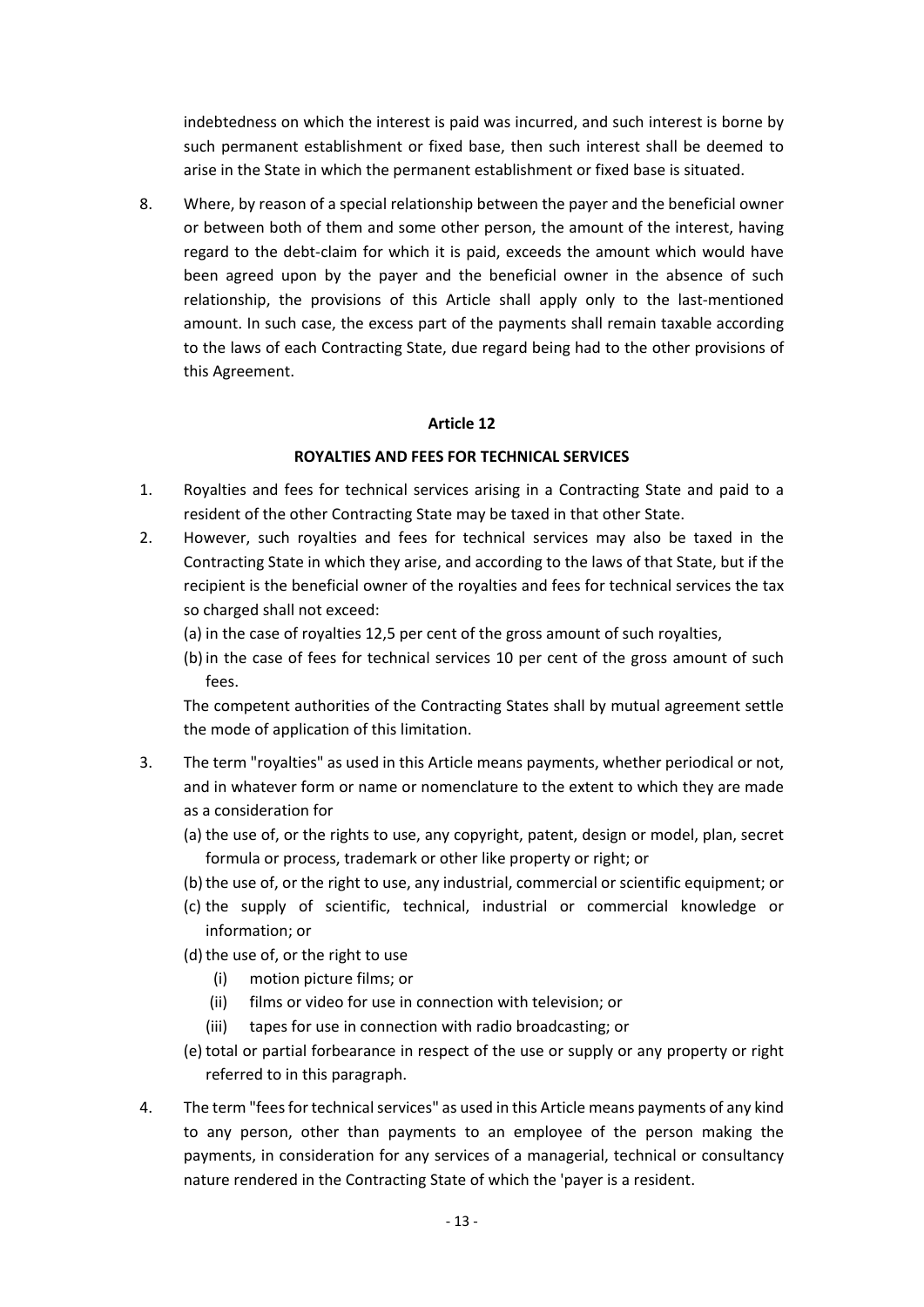indebtedness on which the interest is paid was incurred, and such interest is borne by such permanent establishment or fixed base, then such interest shall be deemed to arise in the State in which the permanent establishment or fixed base is situated.

8. Where, by reason of a special relationship between the payer and the beneficial owner or between both of them and some other person, the amount of the interest, having regard to the debt-claim for which it is paid, exceeds the amount which would have been agreed upon by the payer and the beneficial owner in the absence of such relationship, the provisions of this Article shall apply only to the last-mentioned amount. In such case, the excess part of the payments shall remain taxable according to the laws of each Contracting State, due regard being had to the other provisions of this Agreement.

### **Article 12**

#### **ROYALTIES AND FEES FOR TECHNICAL SERVICES**

- 1. Royalties and fees for technical services arising in a Contracting State and paid to a resident of the other Contracting State may be taxed in that other State.
- 2. However, such royalties and fees for technical services may also be taxed in the Contracting State in which they arise, and according to the laws of that State, but if the recipient is the beneficial owner of the royalties and fees for technical services the tax so charged shall not exceed:
	- (a) in the case of royalties 12,5 per cent of the gross amount of such royalties,
	- (b) in the case of fees for technical services 10 per cent of the gross amount of such fees.

The competent authorities of the Contracting States shall by mutual agreement settle the mode of application of this limitation.

- 3. The term "royalties" as used in this Article means payments, whether periodical or not, and in whatever form or name or nomenclature to the extent to which they are made as a consideration for
	- (a) the use of, or the rights to use, any copyright, patent, design or model, plan, secret formula or process, trademark or other like property or right; or
	- (b) the use of, or the right to use, any industrial, commercial or scientific equipment; or
	- (c) the supply of scientific, technical, industrial or commercial knowledge or information; or
	- (d) the use of, or the right to use
		- (i) motion picture films; or
		- (ii) films or video for use in connection with television; or
		- (iii) tapes for use in connection with radio broadcasting; or
	- (e) total or partial forbearance in respect of the use or supply or any property or right referred to in this paragraph.
- 4. The term "fees for technical services" as used in this Article means payments of any kind to any person, other than payments to an employee of the person making the payments, in consideration for any services of a managerial, technical or consultancy nature rendered in the Contracting State of which the 'payer is a resident.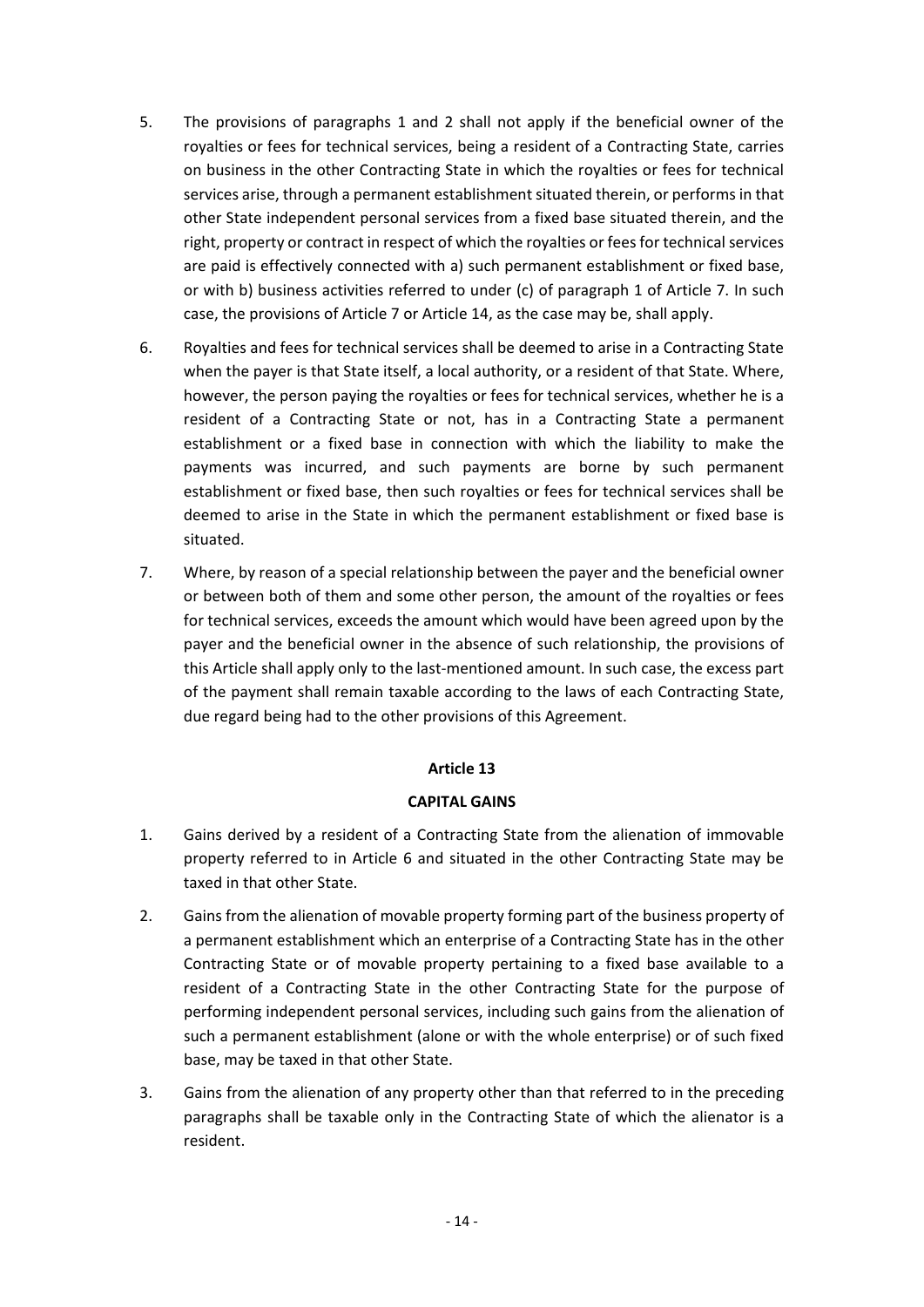- 5. The provisions of paragraphs 1 and 2 shall not apply if the beneficial owner of the royalties or fees for technical services, being a resident of a Contracting State, carries on business in the other Contracting State in which the royalties or fees for technical services arise, through a permanent establishment situated therein, or performs in that other State independent personal services from a fixed base situated therein, and the right, property or contract in respect of which the royalties or fees for technical services are paid is effectively connected with a) such permanent establishment or fixed base, or with b) business activities referred to under (c) of paragraph 1 of Article 7. In such case, the provisions of Article 7 or Article 14, as the case may be, shall apply.
- 6. Royalties and fees for technical services shall be deemed to arise in a Contracting State when the payer is that State itself, a local authority, or a resident of that State. Where, however, the person paying the royalties or fees for technical services, whether he is a resident of a Contracting State or not, has in a Contracting State a permanent establishment or a fixed base in connection with which the liability to make the payments was incurred, and such payments are borne by such permanent establishment or fixed base, then such royalties or fees for technical services shall be deemed to arise in the State in which the permanent establishment or fixed base is situated.
- 7. Where, by reason of a special relationship between the payer and the beneficial owner or between both of them and some other person, the amount of the royalties or fees for technical services, exceeds the amount which would have been agreed upon by the payer and the beneficial owner in the absence of such relationship, the provisions of this Article shall apply only to the last-mentioned amount. In such case, the excess part of the payment shall remain taxable according to the laws of each Contracting State, due regard being had to the other provisions of this Agreement.

# **CAPITAL GAINS**

- 1. Gains derived by a resident of a Contracting State from the alienation of immovable property referred to in Article 6 and situated in the other Contracting State may be taxed in that other State.
- 2. Gains from the alienation of movable property forming part of the business property of a permanent establishment which an enterprise of a Contracting State has in the other Contracting State or of movable property pertaining to a fixed base available to a resident of a Contracting State in the other Contracting State for the purpose of performing independent personal services, including such gains from the alienation of such a permanent establishment (alone or with the whole enterprise) or of such fixed base, may be taxed in that other State.
- 3. Gains from the alienation of any property other than that referred to in the preceding paragraphs shall be taxable only in the Contracting State of which the alienator is a resident.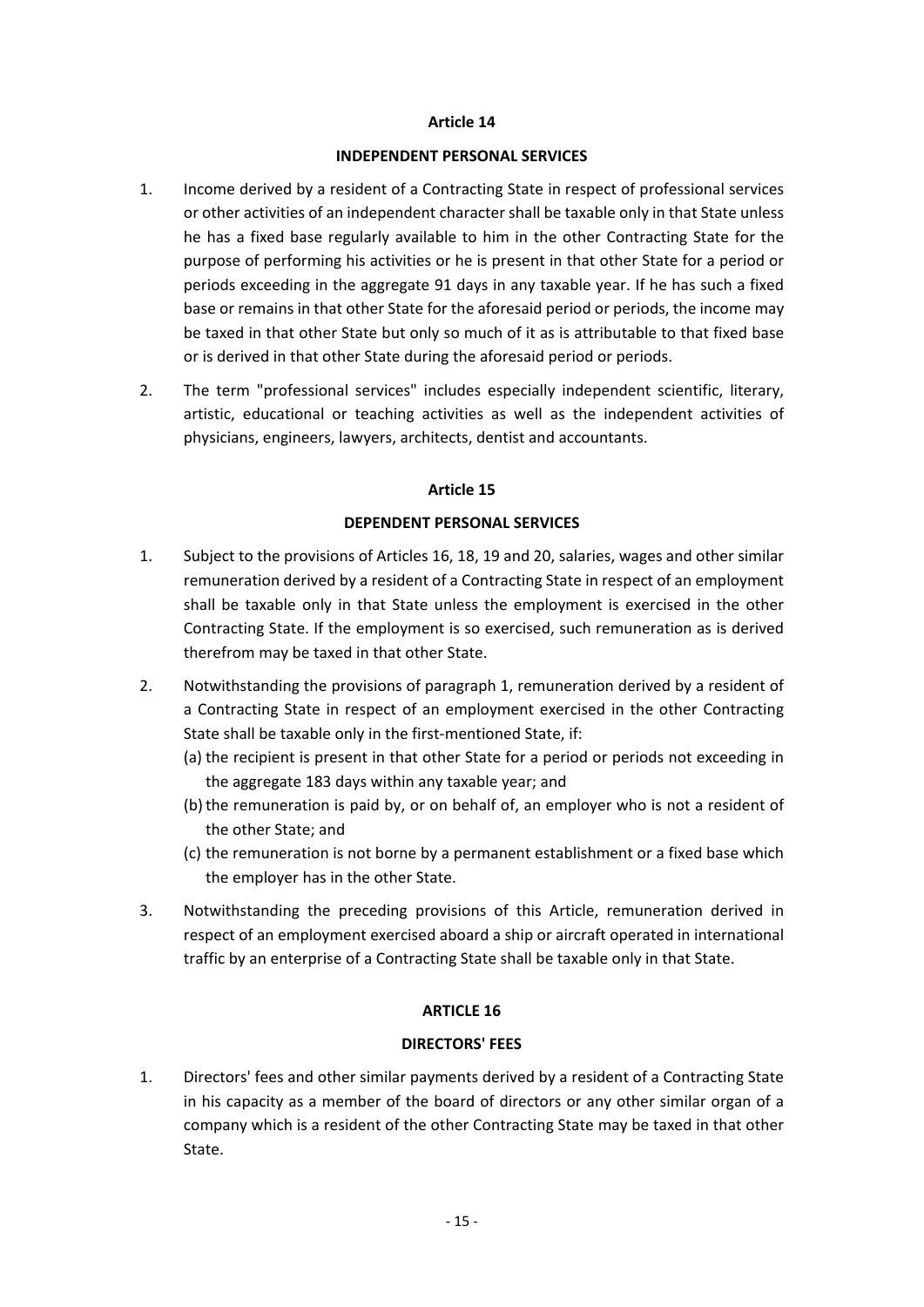#### **INDEPENDENT PERSONAL SERVICES**

- 1. Income derived by a resident of a Contracting State in respect of professional services or other activities of an independent character shall be taxable only in that State unless he has a fixed base regularly available to him in the other Contracting State for the purpose of performing his activities or he is present in that other State for a period or periods exceeding in the aggregate 91 days in any taxable year. If he has such a fixed base or remains in that other State for the aforesaid period or periods, the income may be taxed in that other State but only so much of it as is attributable to that fixed base or is derived in that other State during the aforesaid period or periods.
- 2. The term "professional services" includes especially independent scientific, literary, artistic, educational or teaching activities as well as the independent activities of physicians, engineers, lawyers, architects, dentist and accountants.

#### **Article 15**

### **DEPENDENT PERSONAL SERVICES**

- 1. Subject to the provisions of Articles 16, 18, 19 and 20, salaries, wages and other similar remuneration derived by a resident of a Contracting State in respect of an employment shall be taxable only in that State unless the employment is exercised in the other Contracting State. If the employment is so exercised, such remuneration as is derived therefrom may be taxed in that other State.
- 2. Notwithstanding the provisions of paragraph 1, remuneration derived by a resident of a Contracting State in respect of an employment exercised in the other Contracting State shall be taxable only in the first-mentioned State, if:
	- (a) the recipient is present in that other State for a period or periods not exceeding in the aggregate 183 days within any taxable year; and
	- (b) the remuneration is paid by, or on behalf of, an employer who is not a resident of the other State; and
	- (c) the remuneration is not borne by a permanent establishment or a fixed base which the employer has in the other State.
- 3. Notwithstanding the preceding provisions of this Article, remuneration derived in respect of an employment exercised aboard a ship or aircraft operated in international traffic by an enterprise of a Contracting State shall be taxable only in that State.

#### **ARTICLE 16**

#### **DIRECTORS' FEES**

1. Directors' fees and other similar payments derived by a resident of a Contracting State in his capacity as a member of the board of directors or any other similar organ of a company which is a resident of the other Contracting State may be taxed in that other State.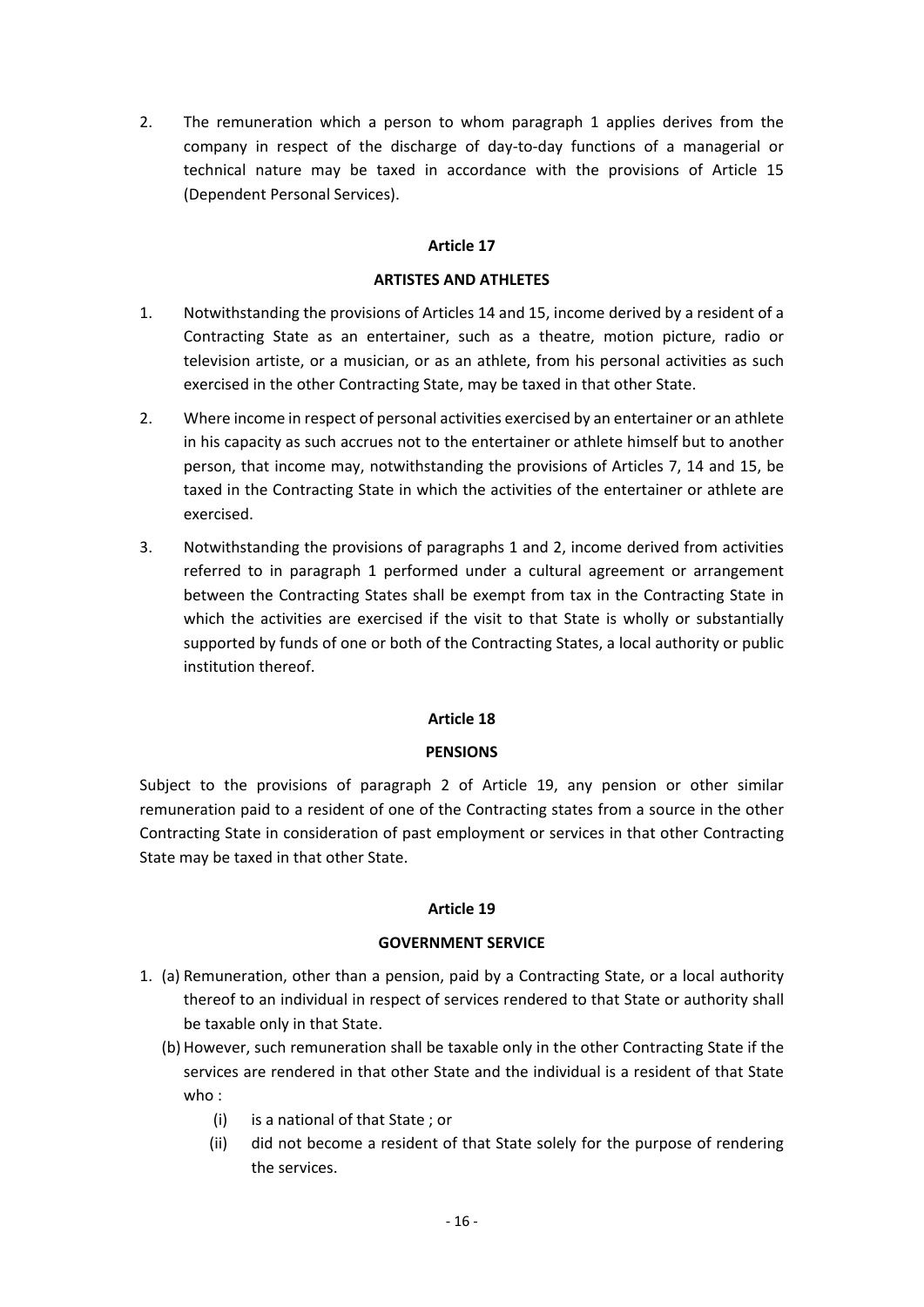2. The remuneration which a person to whom paragraph 1 applies derives from the company in respect of the discharge of day-to-day functions of a managerial or technical nature may be taxed in accordance with the provisions of Article 15 (Dependent Personal Services).

### **Article 17**

### **ARTISTES AND ATHLETES**

- 1. Notwithstanding the provisions of Articles 14 and 15, income derived by a resident of a Contracting State as an entertainer, such as a theatre, motion picture, radio or television artiste, or a musician, or as an athlete, from his personal activities as such exercised in the other Contracting State, may be taxed in that other State.
- 2. Where income in respect of personal activities exercised by an entertainer or an athlete in his capacity as such accrues not to the entertainer or athlete himself but to another person, that income may, notwithstanding the provisions of Articles 7, 14 and 15, be taxed in the Contracting State in which the activities of the entertainer or athlete are exercised.
- 3. Notwithstanding the provisions of paragraphs 1 and 2, income derived from activities referred to in paragraph 1 performed under a cultural agreement or arrangement between the Contracting States shall be exempt from tax in the Contracting State in which the activities are exercised if the visit to that State is wholly or substantially supported by funds of one or both of the Contracting States, a local authority or public institution thereof.

#### **Article 18**

# **PENSIONS**

Subject to the provisions of paragraph 2 of Article 19, any pension or other similar remuneration paid to a resident of one of the Contracting states from a source in the other Contracting State in consideration of past employment or services in that other Contracting State may be taxed in that other State.

#### **Article 19**

#### **GOVERNMENT SERVICE**

- 1. (a) Remuneration, other than a pension, paid by a Contracting State, or a local authority thereof to an individual in respect of services rendered to that State or authority shall be taxable only in that State.
	- (b) However, such remuneration shall be taxable only in the other Contracting State if the services are rendered in that other State and the individual is a resident of that State who :
		- (i) is a national of that State ; or
		- (ii) did not become a resident of that State solely for the purpose of rendering the services.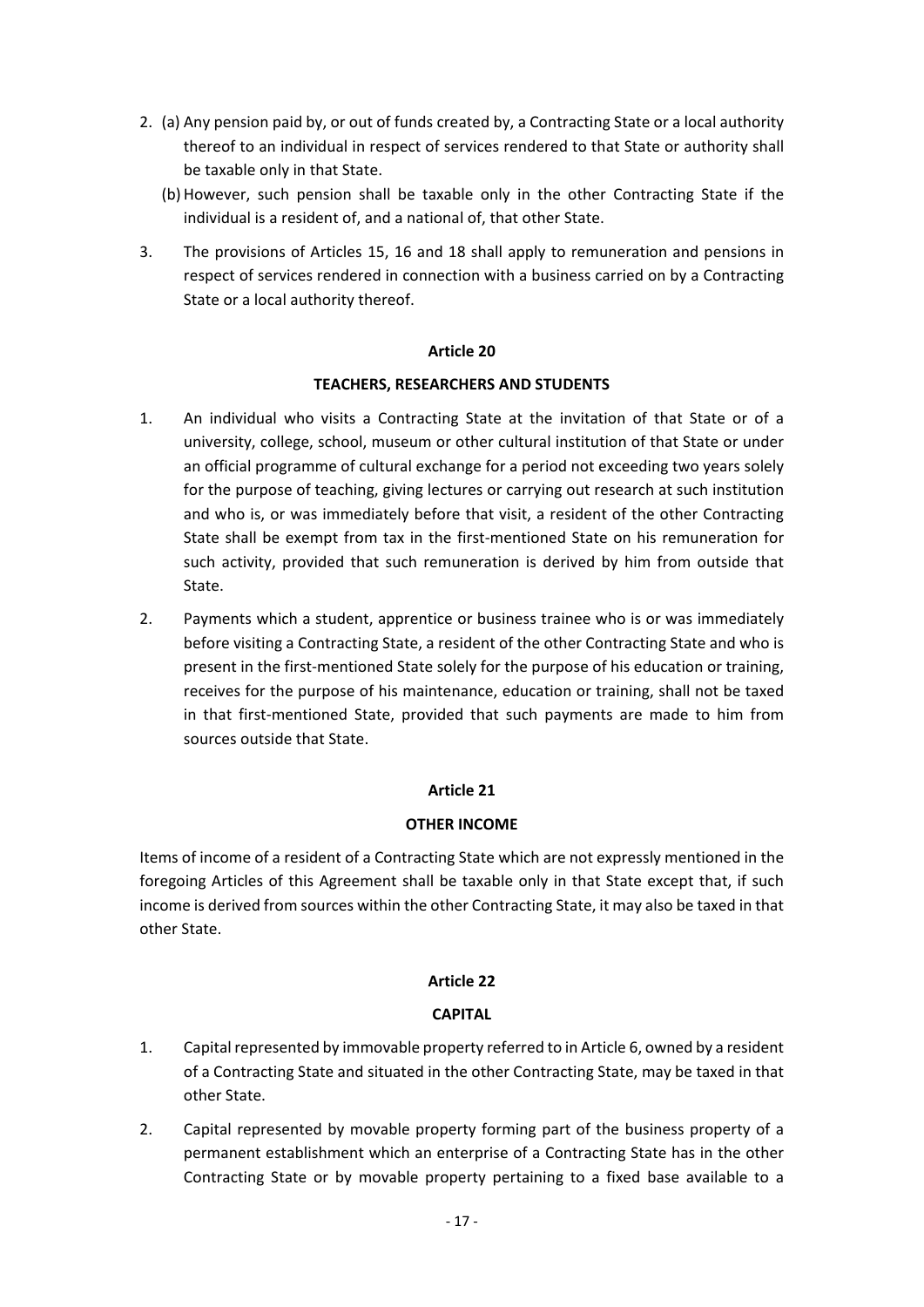- 2. (a) Any pension paid by, or out of funds created by, a Contracting State or a local authority thereof to an individual in respect of services rendered to that State or authority shall be taxable only in that State.
	- (b) However, such pension shall be taxable only in the other Contracting State if the individual is a resident of, and a national of, that other State.
- 3. The provisions of Articles 15, 16 and 18 shall apply to remuneration and pensions in respect of services rendered in connection with a business carried on by a Contracting State or a local authority thereof.

### **TEACHERS, RESEARCHERS AND STUDENTS**

- 1. An individual who visits a Contracting State at the invitation of that State or of a university, college, school, museum or other cultural institution of that State or under an official programme of cultural exchange for a period not exceeding two years solely for the purpose of teaching, giving lectures or carrying out research at such institution and who is, or was immediately before that visit, a resident of the other Contracting State shall be exempt from tax in the first-mentioned State on his remuneration for such activity, provided that such remuneration is derived by him from outside that State.
- 2. Payments which a student, apprentice or business trainee who is or was immediately before visiting a Contracting State, a resident of the other Contracting State and who is present in the first-mentioned State solely for the purpose of his education or training, receives for the purpose of his maintenance, education or training, shall not be taxed in that first-mentioned State, provided that such payments are made to him from sources outside that State.

# **Article 21**

# **OTHER INCOME**

Items of income of a resident of a Contracting State which are not expressly mentioned in the foregoing Articles of this Agreement shall be taxable only in that State except that, if such income is derived from sources within the other Contracting State, it may also be taxed in that other State.

# **Article 22**

#### **CAPITAL**

- 1. Capital represented by immovable property referred to in Article 6, owned by a resident of a Contracting State and situated in the other Contracting State, may be taxed in that other State.
- 2. Capital represented by movable property forming part of the business property of a permanent establishment which an enterprise of a Contracting State has in the other Contracting State or by movable property pertaining to a fixed base available to a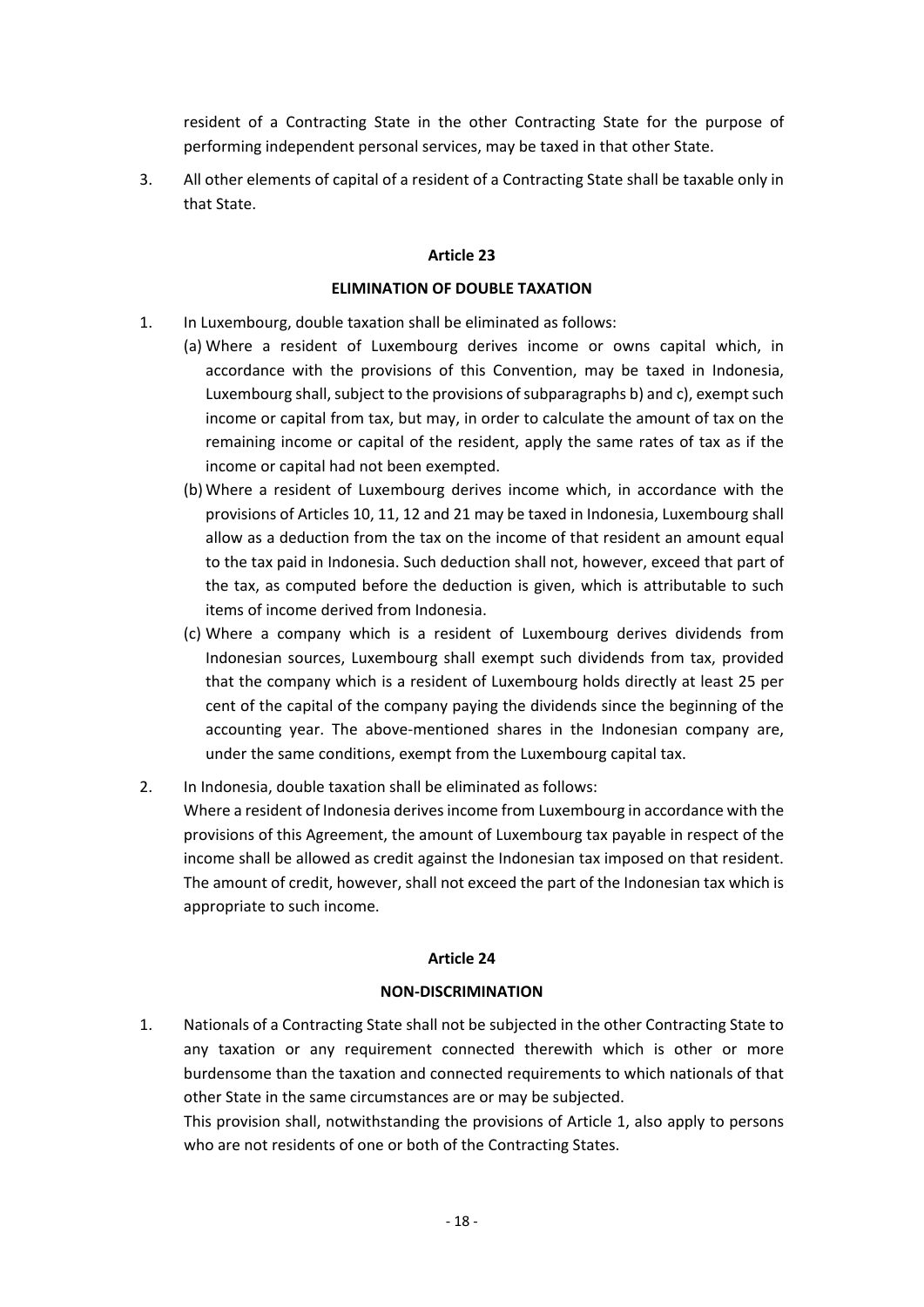resident of a Contracting State in the other Contracting State for the purpose of performing independent personal services, may be taxed in that other State.

3. All other elements of capital of a resident of a Contracting State shall be taxable only in that State.

### **Article 23**

#### **ELIMINATION OF DOUBLE TAXATION**

- 1. In Luxembourg, double taxation shall be eliminated as follows:
	- (a) Where a resident of Luxembourg derives income or owns capital which, in accordance with the provisions of this Convention, may be taxed in Indonesia, Luxembourg shall, subject to the provisions of subparagraphs b) and c), exempt such income or capital from tax, but may, in order to calculate the amount of tax on the remaining income or capital of the resident, apply the same rates of tax as if the income or capital had not been exempted.
	- (b) Where a resident of Luxembourg derives income which, in accordance with the provisions of Articles 10, 11, 12 and 21 may be taxed in Indonesia, Luxembourg shall allow as a deduction from the tax on the income of that resident an amount equal to the tax paid in Indonesia. Such deduction shall not, however, exceed that part of the tax, as computed before the deduction is given, which is attributable to such items of income derived from Indonesia.
	- (c) Where a company which is a resident of Luxembourg derives dividends from Indonesian sources, Luxembourg shall exempt such dividends from tax, provided that the company which is a resident of Luxembourg holds directly at least 25 per cent of the capital of the company paying the dividends since the beginning of the accounting year. The above-mentioned shares in the Indonesian company are, under the same conditions, exempt from the Luxembourg capital tax.
- 2. In Indonesia, double taxation shall be eliminated as follows: Where a resident of Indonesia derives income from Luxembourg in accordance with the provisions of this Agreement, the amount of Luxembourg tax payable in respect of the income shall be allowed as credit against the Indonesian tax imposed on that resident. The amount of credit, however, shall not exceed the part of the Indonesian tax which is appropriate to such income.

#### **Article 24**

#### **NON-DISCRIMINATION**

1. Nationals of a Contracting State shall not be subjected in the other Contracting State to any taxation or any requirement connected therewith which is other or more burdensome than the taxation and connected requirements to which nationals of that other State in the same circumstances are or may be subjected. This provision shall, notwithstanding the provisions of Article 1, also apply to persons who are not residents of one or both of the Contracting States.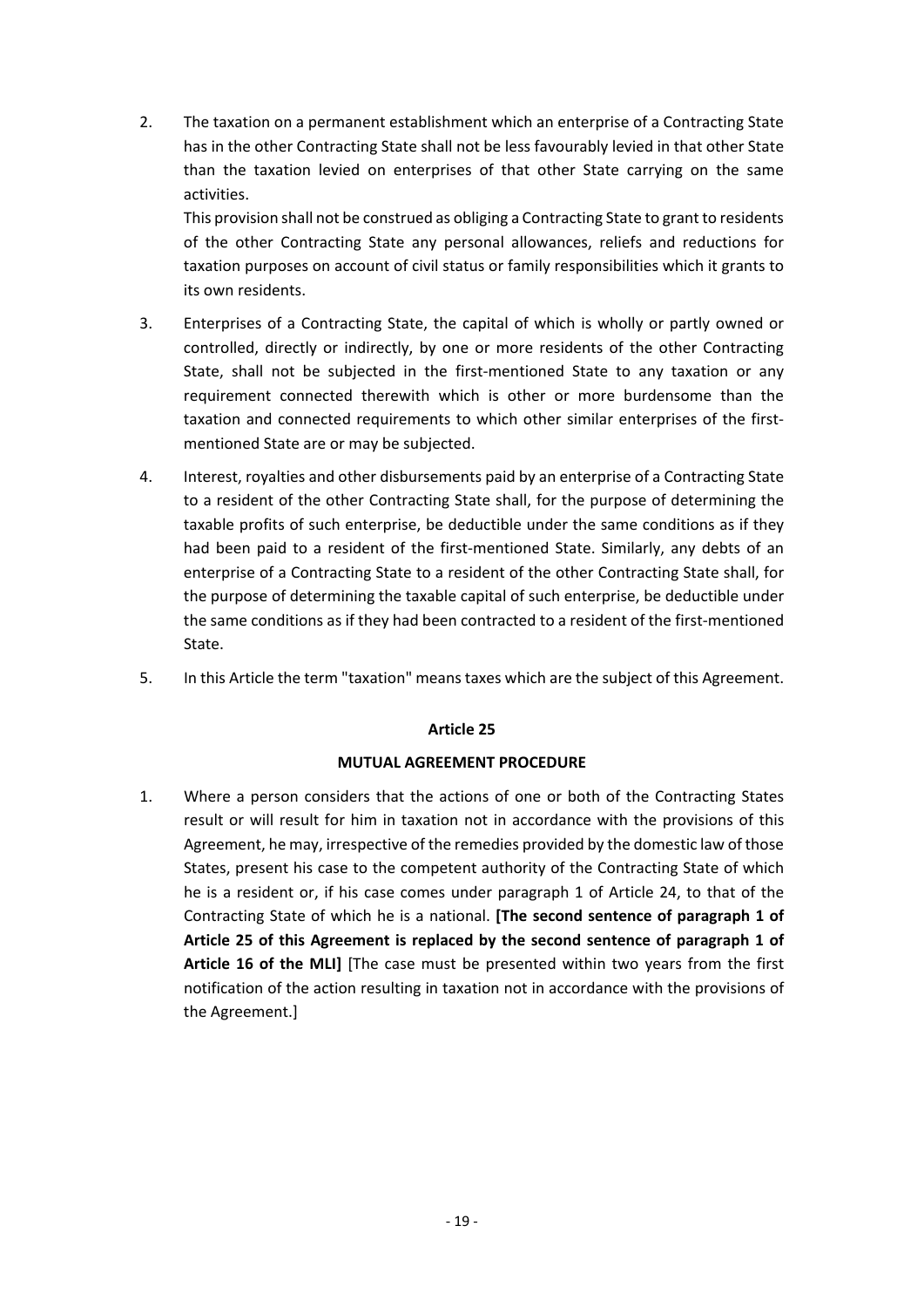2. The taxation on a permanent establishment which an enterprise of a Contracting State has in the other Contracting State shall not be less favourably levied in that other State than the taxation levied on enterprises of that other State carrying on the same activities.

This provision shall not be construed as obliging a Contracting State to grant to residents of the other Contracting State any personal allowances, reliefs and reductions for taxation purposes on account of civil status or family responsibilities which it grants to its own residents.

- 3. Enterprises of a Contracting State, the capital of which is wholly or partly owned or controlled, directly or indirectly, by one or more residents of the other Contracting State, shall not be subjected in the first-mentioned State to any taxation or any requirement connected therewith which is other or more burdensome than the taxation and connected requirements to which other similar enterprises of the firstmentioned State are or may be subjected.
- 4. Interest, royalties and other disbursements paid by an enterprise of a Contracting State to a resident of the other Contracting State shall, for the purpose of determining the taxable profits of such enterprise, be deductible under the same conditions as if they had been paid to a resident of the first-mentioned State. Similarly, any debts of an enterprise of a Contracting State to a resident of the other Contracting State shall, for the purpose of determining the taxable capital of such enterprise, be deductible under the same conditions as if they had been contracted to a resident of the first-mentioned State.
- 5. In this Article the term "taxation" means taxes which are the subject of this Agreement.

# **Article 25**

# **MUTUAL AGREEMENT PROCEDURE**

1. Where a person considers that the actions of one or both of the Contracting States result or will result for him in taxation not in accordance with the provisions of this Agreement, he may, irrespective of the remedies provided by the domestic law of those States, present his case to the competent authority of the Contracting State of which he is a resident or, if his case comes under paragraph 1 of Article 24, to that of the Contracting State of which he is a national. **[The second sentence of paragraph 1 of Article 25 of this Agreement is replaced by the second sentence of paragraph 1 of Article 16 of the MLI]** [The case must be presented within two years from the first notification of the action resulting in taxation not in accordance with the provisions of the Agreement.]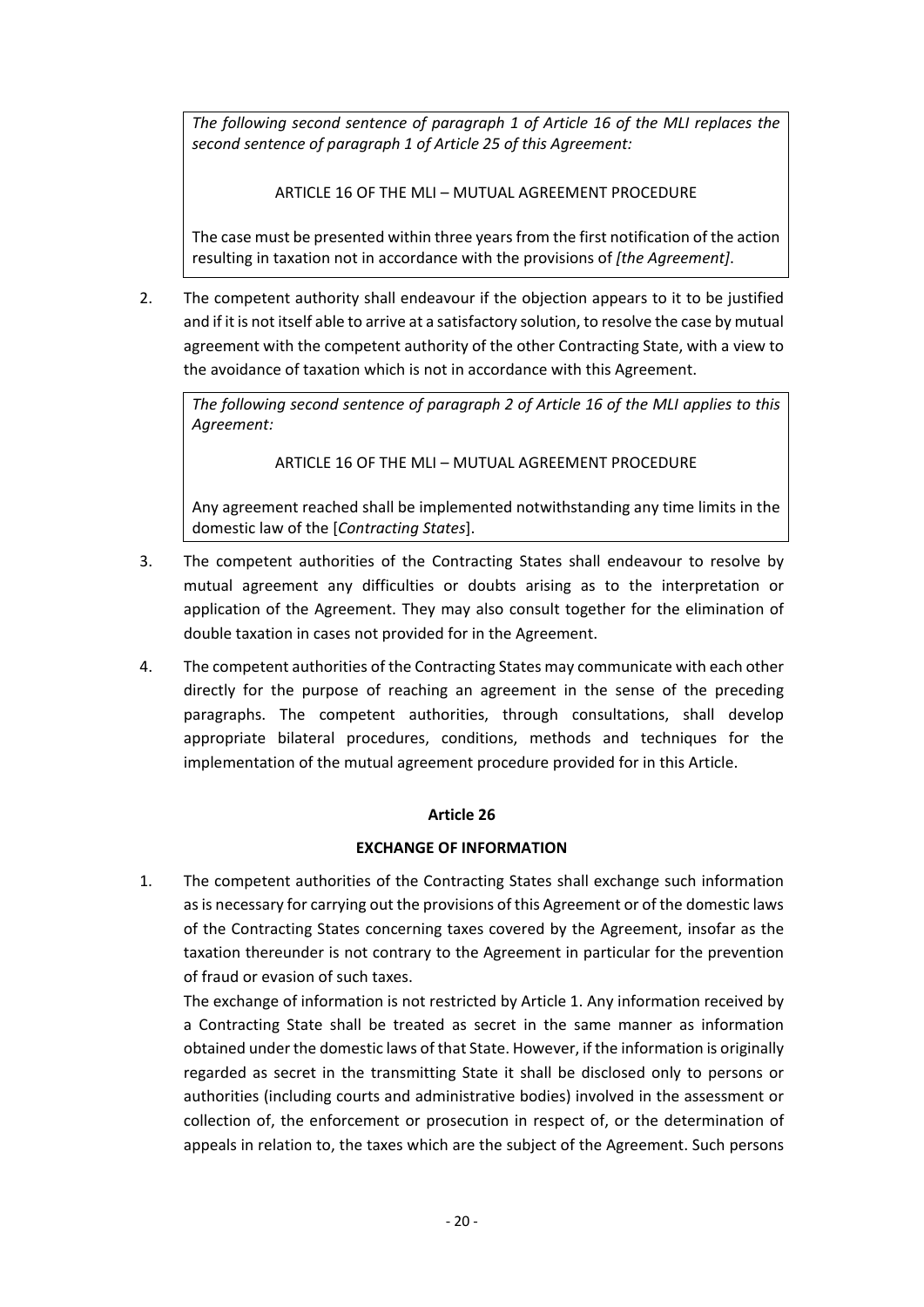*The following second sentence of paragraph 1 of Article 16 of the MLI replaces the second sentence of paragraph 1 of Article 25 of this Agreement:*

ARTICLE 16 OF THE MLI – MUTUAL AGREEMENT PROCEDURE

The case must be presented within three years from the first notification of the action resulting in taxation not in accordance with the provisions of *[the Agreement]*.

2. The competent authority shall endeavour if the objection appears to it to be justified and if it is not itself able to arrive at a satisfactory solution, to resolve the case by mutual agreement with the competent authority of the other Contracting State, with a view to the avoidance of taxation which is not in accordance with this Agreement.

*The following second sentence of paragraph 2 of Article 16 of the MLI applies to this Agreement:*

ARTICLE 16 OF THE MLI – MUTUAL AGREEMENT PROCEDURE

Any agreement reached shall be implemented notwithstanding any time limits in the domestic law of the [*Contracting States*].

- 3. The competent authorities of the Contracting States shall endeavour to resolve by mutual agreement any difficulties or doubts arising as to the interpretation or application of the Agreement. They may also consult together for the elimination of double taxation in cases not provided for in the Agreement.
- 4. The competent authorities of the Contracting States may communicate with each other directly for the purpose of reaching an agreement in the sense of the preceding paragraphs. The competent authorities, through consultations, shall develop appropriate bilateral procedures, conditions, methods and techniques for the implementation of the mutual agreement procedure provided for in this Article.

# **Article 26**

# **EXCHANGE OF INFORMATION**

1. The competent authorities of the Contracting States shall exchange such information as is necessary for carrying out the provisions of this Agreement or of the domestic laws of the Contracting States concerning taxes covered by the Agreement, insofar as the taxation thereunder is not contrary to the Agreement in particular for the prevention of fraud or evasion of such taxes.

The exchange of information is not restricted by Article 1. Any information received by a Contracting State shall be treated as secret in the same manner as information obtained under the domestic laws of that State. However, if the information is originally regarded as secret in the transmitting State it shall be disclosed only to persons or authorities (including courts and administrative bodies) involved in the assessment or collection of, the enforcement or prosecution in respect of, or the determination of appeals in relation to, the taxes which are the subject of the Agreement. Such persons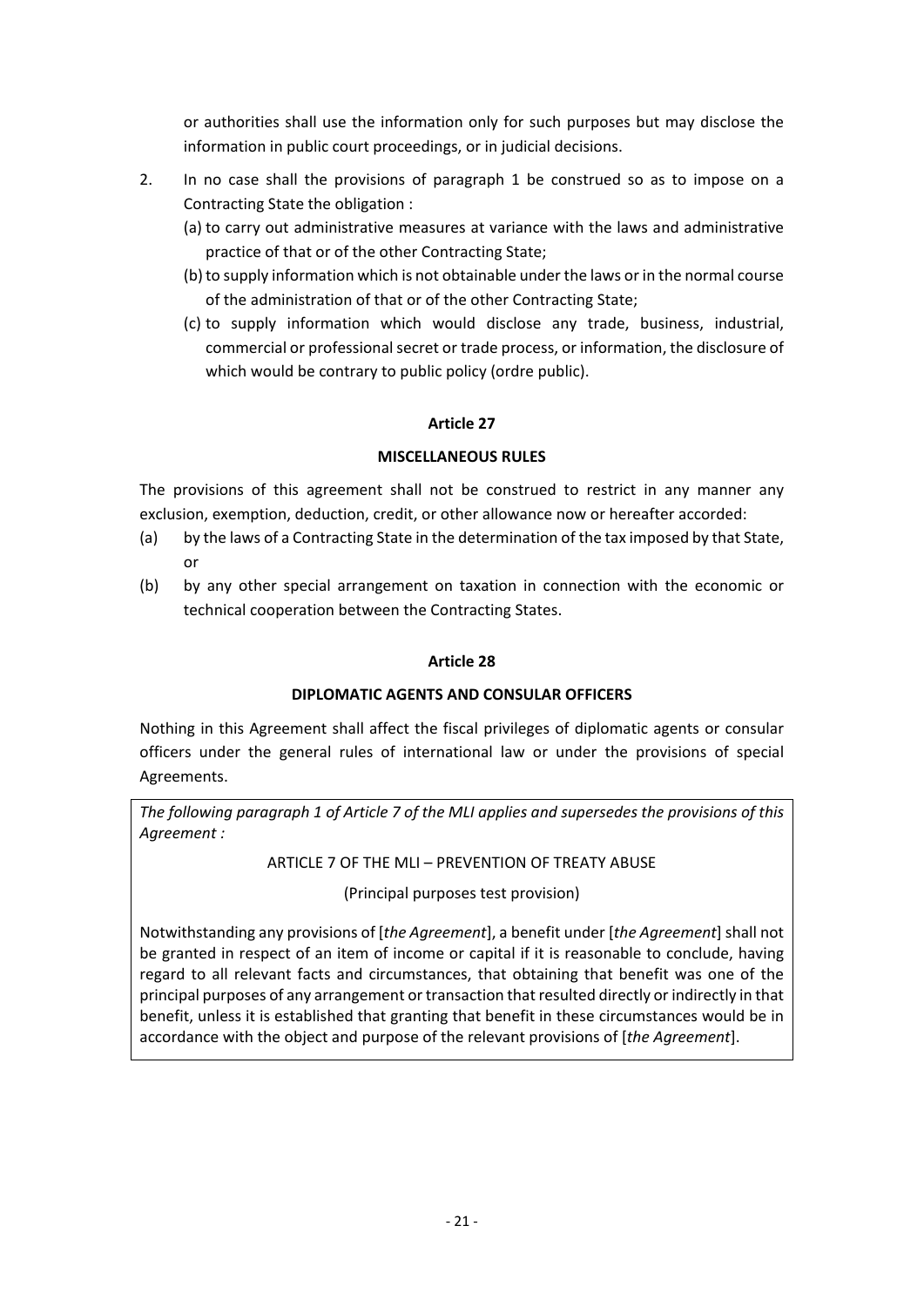or authorities shall use the information only for such purposes but may disclose the information in public court proceedings, or in judicial decisions.

- 2. In no case shall the provisions of paragraph 1 be construed so as to impose on a Contracting State the obligation :
	- (a) to carry out administrative measures at variance with the laws and administrative practice of that or of the other Contracting State;
	- (b) to supply information which is not obtainable under the laws or in the normal course of the administration of that or of the other Contracting State;
	- (c) to supply information which would disclose any trade, business, industrial, commercial or professional secret or trade process, or information, the disclosure of which would be contrary to public policy (ordre public).

# **Article 27**

# **MISCELLANEOUS RULES**

The provisions of this agreement shall not be construed to restrict in any manner any exclusion, exemption, deduction, credit, or other allowance now or hereafter accorded:

- (a) by the laws of a Contracting State in the determination of the tax imposed by that State, or
- (b) by any other special arrangement on taxation in connection with the economic or technical cooperation between the Contracting States.

# **Article 28**

# **DIPLOMATIC AGENTS AND CONSULAR OFFICERS**

Nothing in this Agreement shall affect the fiscal privileges of diplomatic agents or consular officers under the general rules of international law or under the provisions of special Agreements.

*The following paragraph 1 of Article 7 of the MLI applies and supersedes the provisions of this Agreement :*

# ARTICLE 7 OF THE MLI – PREVENTION OF TREATY ABUSE

(Principal purposes test provision)

Notwithstanding any provisions of [*the Agreement*], a benefit under [*the Agreement*] shall not be granted in respect of an item of income or capital if it is reasonable to conclude, having regard to all relevant facts and circumstances, that obtaining that benefit was one of the principal purposes of any arrangement or transaction that resulted directly or indirectly in that benefit, unless it is established that granting that benefit in these circumstances would be in accordance with the object and purpose of the relevant provisions of [*the Agreement*].